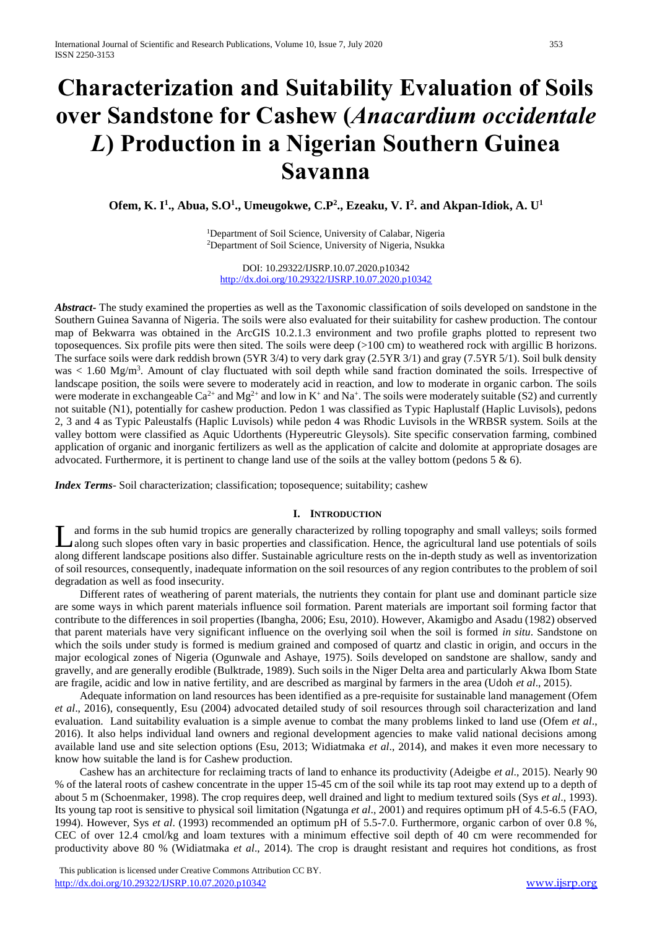# **Characterization and Suitability Evaluation of Soils over Sandstone for Cashew (***Anacardium occidentale L***) Production in a Nigerian Southern Guinea Savanna**

**Ofem, K. I<sup>1</sup> ., Abua, S.O<sup>1</sup> ., Umeugokwe, C.P 2 ., Ezeaku, V. I<sup>2</sup> . and Akpan-Idiok, A. U<sup>1</sup>**

<sup>1</sup>Department of Soil Science, University of Calabar, Nigeria <sup>2</sup>Department of Soil Science, University of Nigeria, Nsukka

DOI: 10.29322/IJSRP.10.07.2020.p10342 <http://dx.doi.org/10.29322/IJSRP.10.07.2020.p10342>

*Abstract***-** The study examined the properties as well as the Taxonomic classification of soils developed on sandstone in the Southern Guinea Savanna of Nigeria. The soils were also evaluated for their suitability for cashew production. The contour map of Bekwarra was obtained in the ArcGIS 10.2.1.3 environment and two profile graphs plotted to represent two toposequences. Six profile pits were then sited. The soils were deep (>100 cm) to weathered rock with argillic B horizons. The surface soils were dark reddish brown (5YR 3/4) to very dark gray (2.5YR 3/1) and gray (7.5YR 5/1). Soil bulk density was  $< 1.60$  Mg/m<sup>3</sup>. Amount of clay fluctuated with soil depth while sand fraction dominated the soils. Irrespective of landscape position, the soils were severe to moderately acid in reaction, and low to moderate in organic carbon. The soils were moderate in exchangeable  $Ca^{2+}$  and Mg<sup>2+</sup> and low in K<sup>+</sup> and Na<sup>+</sup>. The soils were moderately suitable (S2) and currently not suitable (N1), potentially for cashew production. Pedon 1 was classified as Typic Haplustalf (Haplic Luvisols), pedons 2, 3 and 4 as Typic Paleustalfs (Haplic Luvisols) while pedon 4 was Rhodic Luvisols in the WRBSR system. Soils at the valley bottom were classified as Aquic Udorthents (Hypereutric Gleysols). Site specific conservation farming, combined application of organic and inorganic fertilizers as well as the application of calcite and dolomite at appropriate dosages are advocated. Furthermore, it is pertinent to change land use of the soils at the valley bottom (pedons  $5 \& 6$ ).

*Index Terms*- Soil characterization; classification; toposequence; suitability; cashew

## **I. INTRODUCTION**

and forms in the sub humid tropics are generally characterized by rolling topography and small valleys; soils formed along such slopes often vary in basic properties and classification. Hence, the agricultural land use potentials of soils along different landscape positions also differ. Sustainable agriculture rests on the in-depth study as well as inventorization of soil resources, consequently, inadequate information on the soil resources of any region contributes to the problem of soil degradation as well as food insecurity. L

 Different rates of weathering of parent materials, the nutrients they contain for plant use and dominant particle size are some ways in which parent materials influence soil formation. Parent materials are important soil forming factor that contribute to the differences in soil properties (Ibangha, 2006; Esu, 2010). However, Akamigbo and Asadu (1982) observed that parent materials have very significant influence on the overlying soil when the soil is formed *in situ*. Sandstone on which the soils under study is formed is medium grained and composed of quartz and clastic in origin, and occurs in the major ecological zones of Nigeria (Ogunwale and Ashaye, 1975). Soils developed on sandstone are shallow, sandy and gravelly, and are generally erodible (Bulktrade, 1989). Such soils in the Niger Delta area and particularly Akwa Ibom State are fragile, acidic and low in native fertility, and are described as marginal by farmers in the area (Udoh *et al*., 2015).

 Adequate information on land resources has been identified as a pre-requisite for sustainable land management (Ofem *et al*., 2016), consequently, Esu (2004) advocated detailed study of soil resources through soil characterization and land evaluation. Land suitability evaluation is a simple avenue to combat the many problems linked to land use (Ofem *et al*., 2016). It also helps individual land owners and regional development agencies to make valid national decisions among available land use and site selection options (Esu, 2013; Widiatmaka *et al*., 2014), and makes it even more necessary to know how suitable the land is for Cashew production.

 Cashew has an architecture for reclaiming tracts of land to enhance its productivity (Adeigbe *et al*., 2015). Nearly 90 % of the lateral roots of cashew concentrate in the upper 15-45 cm of the soil while its tap root may extend up to a depth of about 5 m (Schoenmaker, 1998). The crop requires deep, well drained and light to medium textured soils (Sys *et al*., 1993). Its young tap root is sensitive to physical soil limitation (Ngatunga *et al*., 2001) and requires optimum pH of 4.5-6.5 (FAO, 1994). However, Sys *et al*. (1993) recommended an optimum pH of 5.5-7.0. Furthermore, organic carbon of over 0.8 %, CEC of over 12.4 cmol/kg and loam textures with a minimum effective soil depth of 40 cm were recommended for productivity above 80 % (Widiatmaka *et al*., 2014). The crop is draught resistant and requires hot conditions, as frost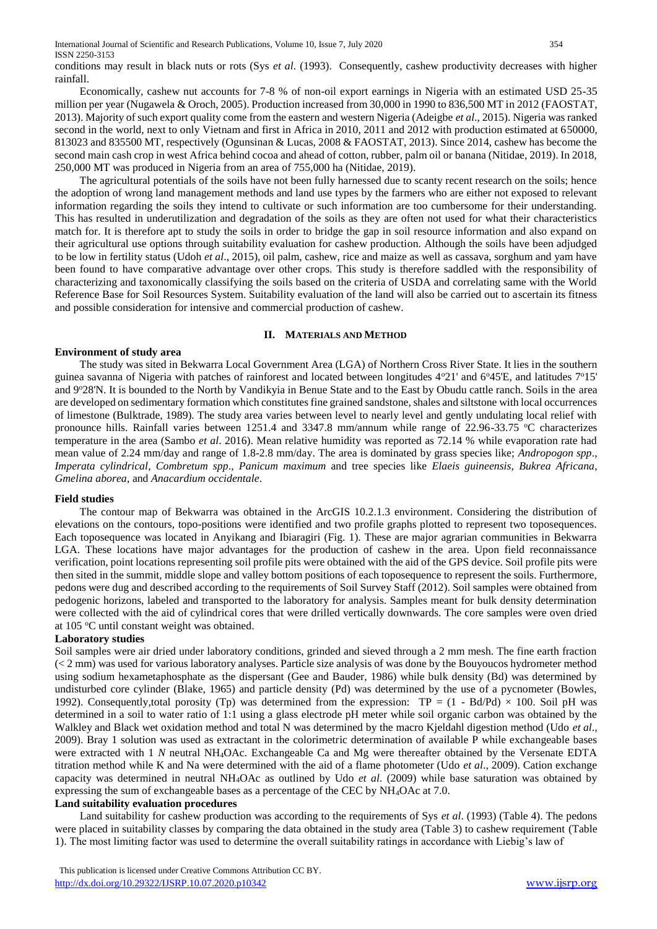conditions may result in black nuts or rots (Sys *et al*. (1993). Consequently, cashew productivity decreases with higher rainfall.

 Economically, cashew nut accounts for 7-8 % of non-oil export earnings in Nigeria with an estimated USD 25-35 million per year (Nugawela & Oroch, 2005). Production increased from 30,000 in 1990 to 836,500 MT in 2012 (FAOSTAT, 2013). Majority of such export quality come from the eastern and western Nigeria (Adeigbe *et al*., 2015). Nigeria was ranked second in the world, next to only Vietnam and first in Africa in 2010, 2011 and 2012 with production estimated at 650000, 813023 and 835500 MT, respectively (Ogunsinan & Lucas, 2008 & FAOSTAT, 2013). Since 2014, cashew has become the second main cash crop in west Africa behind cocoa and ahead of cotton, rubber, palm oil or banana (Nitidae, 2019). In 2018, 250,000 MT was produced in Nigeria from an area of 755,000 ha (Nitidae, 2019).

 The agricultural potentials of the soils have not been fully harnessed due to scanty recent research on the soils; hence the adoption of wrong land management methods and land use types by the farmers who are either not exposed to relevant information regarding the soils they intend to cultivate or such information are too cumbersome for their understanding. This has resulted in underutilization and degradation of the soils as they are often not used for what their characteristics match for. It is therefore apt to study the soils in order to bridge the gap in soil resource information and also expand on their agricultural use options through suitability evaluation for cashew production. Although the soils have been adjudged to be low in fertility status (Udoh *et al*., 2015), oil palm, cashew, rice and maize as well as cassava, sorghum and yam have been found to have comparative advantage over other crops. This study is therefore saddled with the responsibility of characterizing and taxonomically classifying the soils based on the criteria of USDA and correlating same with the World Reference Base for Soil Resources System. Suitability evaluation of the land will also be carried out to ascertain its fitness and possible consideration for intensive and commercial production of cashew.

#### **II. MATERIALS AND METHOD**

#### **Environment of study area**

 The study was sited in Bekwarra Local Government Area (LGA) of Northern Cross River State. It lies in the southern guinea savanna of Nigeria with patches of rainforest and located between longitudes  $4^{\circ}21'$  and  $6^{\circ}45'E$ , and latitudes  $7^{\circ}15'$ and 9°28'N. It is bounded to the North by Vandikyia in Benue State and to the East by Obudu cattle ranch. Soils in the area are developed on sedimentary formation which constitutes fine grained sandstone, shales and siltstone with local occurrences of limestone (Bulktrade, 1989). The study area varies between level to nearly level and gently undulating local relief with pronounce hills. Rainfall varies between 1251.4 and 3347.8 mm/annum while range of 22.96-33.75 °C characterizes temperature in the area (Sambo *et al*. 2016). Mean relative humidity was reported as 72.14 % while evaporation rate had mean value of 2.24 mm/day and range of 1.8-2.8 mm/day. The area is dominated by grass species like; *Andropogon spp*., *Imperata cylindrical*, *Combretum spp*., *Panicum maximum* and tree species like *Elaeis guineensis*, *Bukrea Africana*, *Gmelina aborea*, and *Anacardium occidentale*.

#### **Field studies**

 The contour map of Bekwarra was obtained in the ArcGIS 10.2.1.3 environment. Considering the distribution of elevations on the contours, topo-positions were identified and two profile graphs plotted to represent two toposequences. Each toposequence was located in Anyikang and Ibiaragiri (Fig. 1). These are major agrarian communities in Bekwarra LGA. These locations have major advantages for the production of cashew in the area. Upon field reconnaissance verification, point locations representing soil profile pits were obtained with the aid of the GPS device. Soil profile pits were then sited in the summit, middle slope and valley bottom positions of each toposequence to represent the soils. Furthermore, pedons were dug and described according to the requirements of Soil Survey Staff (2012). Soil samples were obtained from pedogenic horizons, labeled and transported to the laboratory for analysis. Samples meant for bulk density determination were collected with the aid of cylindrical cores that were drilled vertically downwards. The core samples were oven dried at 105 °C until constant weight was obtained.

#### **Laboratory studies**

Soil samples were air dried under laboratory conditions, grinded and sieved through a 2 mm mesh. The fine earth fraction (< 2 mm) was used for various laboratory analyses. Particle size analysis of was done by the Bouyoucos hydrometer method using sodium hexametaphosphate as the dispersant (Gee and Bauder, 1986) while bulk density (Bd) was determined by undisturbed core cylinder (Blake, 1965) and particle density (Pd) was determined by the use of a pycnometer (Bowles, 1992). Consequently,total porosity (Tp) was determined from the expression: TP =  $(1 - BdPd) \times 100$ . Soil pH was determined in a soil to water ratio of 1:1 using a glass electrode pH meter while soil organic carbon was obtained by the Walkley and Black wet oxidation method and total N was determined by the macro Kjeldahl digestion method (Udo *et al*., 2009). Bray 1 solution was used as extractant in the colorimetric determination of available P while exchangeable bases were extracted with 1 *N* neutral NH4OAc. Exchangeable Ca and Mg were thereafter obtained by the Versenate EDTA titration method while K and Na were determined with the aid of a flame photometer (Udo *et al*., 2009). Cation exchange capacity was determined in neutral NH4OAc as outlined by Udo *et al*. (2009) while base saturation was obtained by expressing the sum of exchangeable bases as a percentage of the CEC by NH4OAc at 7.0.

#### **Land suitability evaluation procedures**

 Land suitability for cashew production was according to the requirements of Sys *et al*. (1993) (Table 4). The pedons were placed in suitability classes by comparing the data obtained in the study area (Table 3) to cashew requirement (Table 1). The most limiting factor was used to determine the overall suitability ratings in accordance with Liebig's law of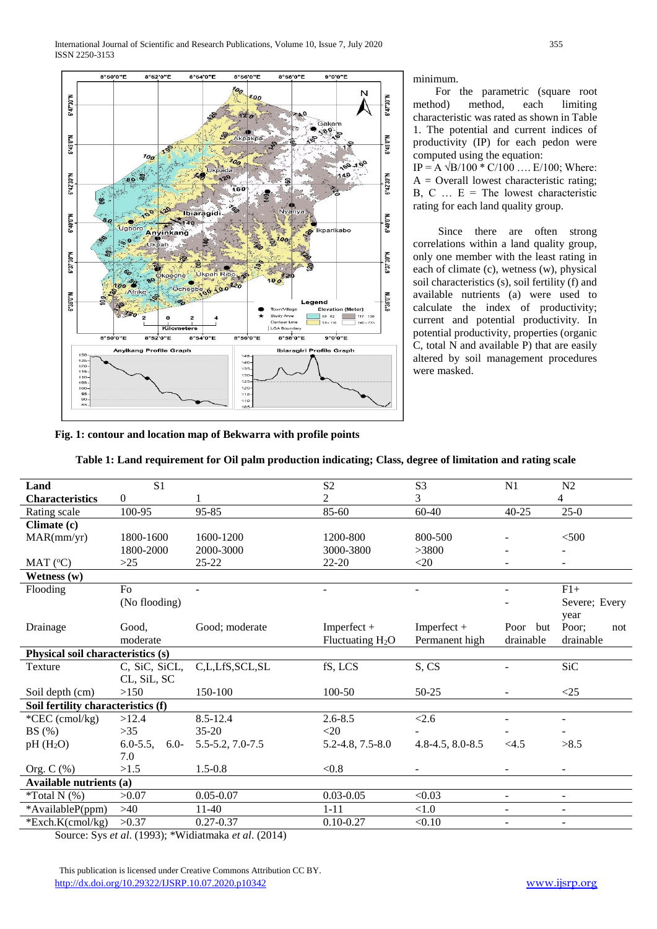

minimum.

 For the parametric (square root method) method, each limiting characteristic was rated as shown in Table 1. The potential and current indices of productivity (IP) for each pedon were computed using the equation: IP = A  $\sqrt{B/100}$  \* C/100 .... E/100; Where:

 $A =$  Overall lowest characteristic rating; B, C  $\ldots$  E = The lowest characteristic rating for each land quality group.

 Since there are often strong correlations within a land quality group, only one member with the least rating in each of climate (c), wetness (w), physical soil characteristics (s), soil fertility (f) and available nutrients (a) were used to calculate the index of productivity; current and potential productivity. In potential productivity, properties (organic C, total N and available P) that are easily altered by soil management procedures were masked.

**Fig. 1: contour and location map of Bekwarra with profile points**

| Table 1: Land requirement for Oil palm production indicating; Class, degree of limitation and rating scale |  |  |
|------------------------------------------------------------------------------------------------------------|--|--|

| Land                               | S <sub>1</sub>           |                  | S <sub>2</sub>         | S <sub>3</sub>         | N1                       | N2                       |
|------------------------------------|--------------------------|------------------|------------------------|------------------------|--------------------------|--------------------------|
| <b>Characteristics</b>             | $\boldsymbol{0}$         |                  | 2                      | 3                      |                          | 4                        |
| Rating scale                       | 100-95                   | 95-85            | 85-60                  | $60 - 40$              | $40 - 25$                | $25-0$                   |
| Climate (c)                        |                          |                  |                        |                        |                          |                          |
| MAR(mm/yr)                         | 1800-1600                | 1600-1200        | 1200-800               | 800-500                | ۰                        | $<$ 500                  |
|                                    | 1800-2000                | 2000-3000        | 3000-3800              | >3800                  |                          |                          |
| MAT (°C)                           | $>25$                    | $25 - 22$        | $22 - 20$              | $<$ 20                 |                          |                          |
| Wetness $(w)$                      |                          |                  |                        |                        |                          |                          |
| Flooding                           | Fo                       |                  | $\blacksquare$         | $\blacksquare$         | $\overline{\phantom{a}}$ | $F1+$                    |
|                                    | (No flooding)            |                  |                        |                        |                          | Severe; Every            |
|                                    |                          |                  |                        |                        |                          | year                     |
| Drainage                           | Good,                    | Good: moderate   | Imperfect +            | Imperfect +            | Poor but                 | Poor:<br>not             |
|                                    | moderate                 |                  | Fluctuating $H_2O$     | Permanent high         | drainable                | drainable                |
| Physical soil characteristics (s)  |                          |                  |                        |                        |                          |                          |
| Texture                            | C, SiC, SiCL,            | C,L,LfS,SCL,SL   | fS, LCS                | S, CS                  | $\blacksquare$           | SiC                      |
|                                    | CL, SiL, SC              |                  |                        |                        |                          |                          |
| Soil depth (cm)                    | >150                     | 150-100          | 100-50                 | $50 - 25$              |                          | <25                      |
| Soil fertility characteristics (f) |                          |                  |                        |                        |                          |                          |
| *CEC (cmol/kg)                     | >12.4                    | $8.5 - 12.4$     | $2.6 - 8.5$            | < 2.6                  | ÷.                       | $\overline{\phantom{a}}$ |
| BS(%)                              | $>35$                    | $35-20$          | $<$ 20                 |                        |                          |                          |
| $pH(H_2O)$                         | $6.0 - 5.5$ ,<br>$6.0 -$ | 5.5-5.2, 7.0-7.5 | $5.2 - 4.8, 7.5 - 8.0$ | $4.8 - 4.5, 8.0 - 8.5$ | <4.5                     | >8.5                     |
|                                    | 7.0                      |                  |                        |                        |                          |                          |
| Org. $C$ (%)                       | >1.5                     | $1.5 - 0.8$      | < 0.8                  |                        | $\overline{\phantom{a}}$ |                          |
| <b>Available nutrients (a)</b>     |                          |                  |                        |                        |                          |                          |
| $*Total N$ (%)                     | >0.07                    | $0.05 - 0.07$    | $0.03 - 0.05$          | < 0.03                 | $\overline{\phantom{a}}$ | $\overline{\phantom{a}}$ |
| *AvailableP(ppm)                   | $>40$                    | $11-40$          | $1 - 11$               | < 1.0                  | $\blacksquare$           | $\blacksquare$           |
| *Exch.K(cmol/kg)                   | >0.37                    | $0.27 - 0.37$    | $0.10 - 0.27$          | < 0.10                 | $\blacksquare$           | $\blacksquare$           |
|                                    |                          |                  |                        |                        |                          |                          |

Source: Sys *et al*. (1993); \*Widiatmaka *et al*. (2014)

 This publication is licensed under Creative Commons Attribution CC BY. <http://dx.doi.org/10.29322/IJSRP.10.07.2020.p10342> [www.ijsrp.org](http://ijsrp.org/)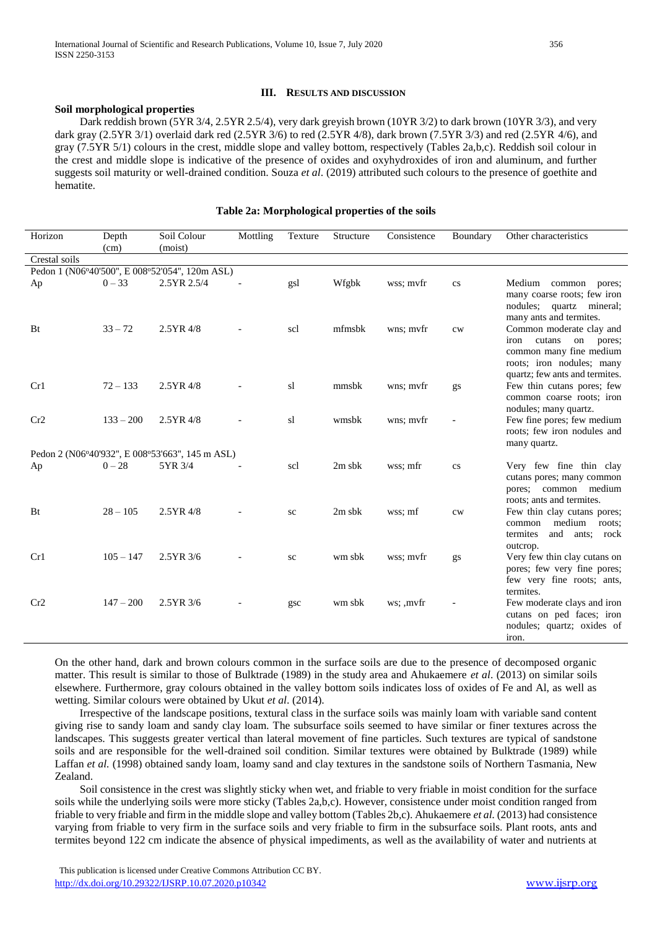#### **III. RESULTS AND DISCUSSION**

#### **Soil morphological properties**

 Dark reddish brown (5YR 3/4, 2.5YR 2.5/4), very dark greyish brown (10YR 3/2) to dark brown (10YR 3/3), and very dark gray (2.5YR 3/1) overlaid dark red (2.5YR 3/6) to red (2.5YR 4/8), dark brown (7.5YR 3/3) and red (2.5YR 4/6), and gray (7.5YR 5/1) colours in the crest, middle slope and valley bottom, respectively (Tables 2a,b,c). Reddish soil colour in the crest and middle slope is indicative of the presence of oxides and oxyhydroxides of iron and aluminum, and further suggests soil maturity or well-drained condition. Souza *et al*. (2019) attributed such colours to the presence of goethite and hematite.

#### **Table 2a: Morphological properties of the soils**

| Horizon       | Depth<br>(cm) | Soil Colour<br>(moist)                          | Mottling | Texture   | Structure | Consistence | Boundary      | Other characteristics                                                                                                                                |
|---------------|---------------|-------------------------------------------------|----------|-----------|-----------|-------------|---------------|------------------------------------------------------------------------------------------------------------------------------------------------------|
| Crestal soils |               |                                                 |          |           |           |             |               |                                                                                                                                                      |
|               |               | Pedon 1 (N06°40'500", E 008°52'054", 120m ASL)  |          |           |           |             |               |                                                                                                                                                      |
| Ap            | $0 - 33$      | 2.5YR 2.5/4                                     |          | gsl       | Wfgbk     | wss; mvfr   | $_{\rm CS}$   | Medium common pores;<br>many coarse roots; few iron<br>nodules; quartz mineral;<br>many ants and termites.                                           |
| Bt            | $33 - 72$     | 2.5YR 4/8                                       |          | scl       | mfmsbk    | wns; mvfr   | $\mathrm{cw}$ | Common moderate clay and<br>cutans<br>iron<br>on<br>pores;<br>common many fine medium<br>roots; iron nodules; many<br>quartz; few ants and termites. |
| Cr1           | $72 - 133$    | $2.5YR$ 4/8                                     |          | sl        | mmsbk     | wns: myfr   | gs            | Few thin cutans pores; few<br>common coarse roots; iron<br>nodules; many quartz.                                                                     |
| Cr2           | $133 - 200$   | $2.5YR$ 4/8                                     |          | sl        | wmsbk     | wns: myfr   |               | Few fine pores; few medium<br>roots; few iron nodules and<br>many quartz.                                                                            |
|               |               | Pedon 2 (N06°40'932", E 008°53'663", 145 m ASL) |          |           |           |             |               |                                                                                                                                                      |
| Ap            | $0 - 28$      | 5YR 3/4                                         |          | scl       | $2m$ sbk  | wss: mfr    | cs            | Very few fine thin clay<br>cutans pores; many common<br>pores; common medium<br>roots; ants and termites.                                            |
| Bt            | $28 - 105$    | $2.5YR$ 4/8                                     |          | sc        | $2m$ sbk  | wss; mf     | $\mathrm{cw}$ | Few thin clay cutans pores;<br>medium roots;<br>common<br>and ants; rock<br>termites<br>outcrop.                                                     |
| Cr1           | $105 - 147$   | 2.5YR 3/6                                       |          | <b>SC</b> | wm sbk    | wss; myfr   | gs            | Very few thin clay cutans on<br>pores; few very fine pores;<br>few very fine roots; ants,<br>termites.                                               |
| Cr2           | $147 - 200$   | 2.5YR 3/6                                       |          | gsc       | wm sbk    | ws; , mvfr  |               | Few moderate clays and iron<br>cutans on ped faces; iron<br>nodules; quartz; oxides of<br>iron.                                                      |

On the other hand, dark and brown colours common in the surface soils are due to the presence of decomposed organic matter. This result is similar to those of Bulktrade (1989) in the study area and Ahukaemere *et al*. (2013) on similar soils elsewhere. Furthermore, gray colours obtained in the valley bottom soils indicates loss of oxides of Fe and Al, as well as wetting. Similar colours were obtained by Ukut *et al*. (2014).

 Irrespective of the landscape positions, textural class in the surface soils was mainly loam with variable sand content giving rise to sandy loam and sandy clay loam. The subsurface soils seemed to have similar or finer textures across the landscapes. This suggests greater vertical than lateral movement of fine particles. Such textures are typical of sandstone soils and are responsible for the well-drained soil condition. Similar textures were obtained by Bulktrade (1989) while Laffan *et al.* (1998) obtained sandy loam, loamy sand and clay textures in the sandstone soils of Northern Tasmania, New Zealand.

 Soil consistence in the crest was slightly sticky when wet, and friable to very friable in moist condition for the surface soils while the underlying soils were more sticky (Tables 2a,b,c). However, consistence under moist condition ranged from friable to very friable and firm in the middle slope and valley bottom (Tables 2b,c). Ahukaemere *et al.* (2013) had consistence varying from friable to very firm in the surface soils and very friable to firm in the subsurface soils. Plant roots, ants and termites beyond 122 cm indicate the absence of physical impediments, as well as the availability of water and nutrients at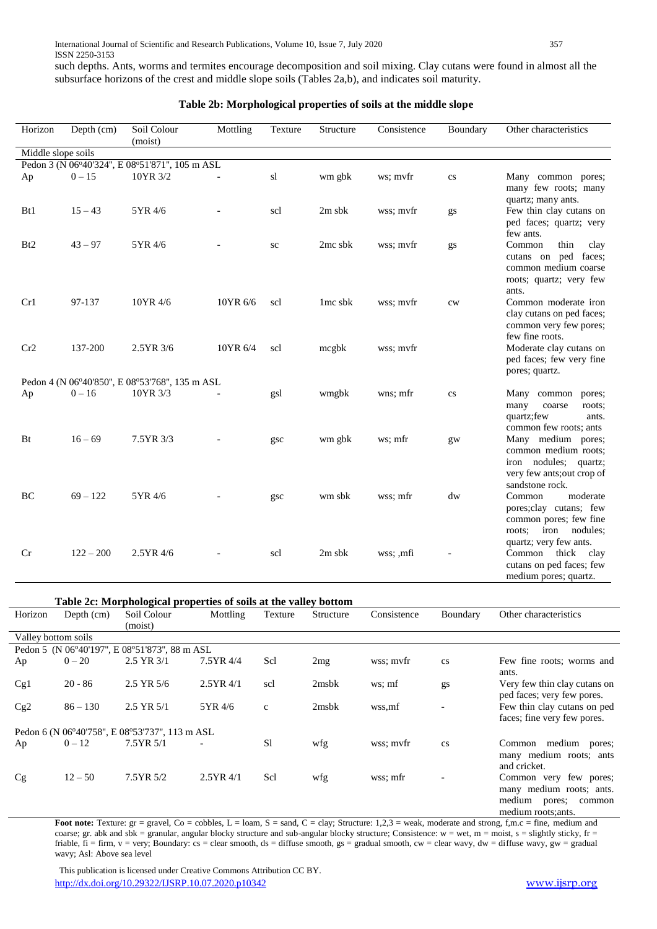such depths. Ants, worms and termites encourage decomposition and soil mixing. Clay cutans were found in almost all the subsurface horizons of the crest and middle slope soils (Tables 2a,b), and indicates soil maturity.

| Depth (cm)<br>Horizon |             | Soil Colour<br>(moist)                                     | Mottling | Texture | Structure           | Consistence | Boundary               | Other characteristics                                                                                                                          |
|-----------------------|-------------|------------------------------------------------------------|----------|---------|---------------------|-------------|------------------------|------------------------------------------------------------------------------------------------------------------------------------------------|
| Middle slope soils    |             |                                                            |          |         |                     |             |                        |                                                                                                                                                |
|                       |             | Pedon 3 (N 06°40'324", E 08°51'871", 105 m ASL             |          |         |                     |             |                        |                                                                                                                                                |
| Ap                    | $0 - 15$    | 10YR 3/2                                                   |          | sl      | wm gbk              | ws; mvfr    | $\mathbf{c}\mathbf{s}$ | Many common pores;<br>many few roots; many<br>quartz; many ants.                                                                               |
| B <sub>t1</sub>       | $15 - 43$   | 5YR 4/6                                                    |          | scl     | $2m$ sbk            | wss; myfr   | gs                     | Few thin clay cutans on<br>ped faces; quartz; very<br>few ants.                                                                                |
| B <sub>t2</sub>       | $43 - 97$   | 5YR 4/6                                                    |          | sc      | $2mc$ sbk           | wss; mvfr   | gs                     | Common<br>thin<br>clay<br>cutans on ped faces;<br>common medium coarse<br>roots; quartz; very few<br>ants.                                     |
| Cr1                   | 97-137      | 10YR 4/6                                                   | 10YR 6/6 | scl     | 1 <sub>mc</sub> sbk | wss; myfr   | cw                     | Common moderate iron<br>clay cutans on ped faces;<br>common very few pores;<br>few fine roots.                                                 |
| Cr2                   | 137-200     | 2.5YR 3/6                                                  | 10YR 6/4 | scl     | mcgbk               | wss; mvfr   |                        | Moderate clay cutans on<br>ped faces; few very fine<br>pores; quartz.                                                                          |
| Ap                    | $0 - 16$    | Pedon 4 (N 06°40'850", E 08°53'768", 135 m ASL<br>10YR 3/3 |          | gsl     | wmgbk               | wns; mfr    | $\mathbf{c}\mathbf{s}$ | Many common<br>pores;<br>many<br>coarse<br>roots;<br>quartz; few<br>ants.                                                                      |
| Bt                    | $16 - 69$   | 7.5YR 3/3                                                  |          | gsc     | wm gbk              | ws; mfr     | $g_{W}$                | common few roots; ants<br>Many medium pores;<br>common medium roots;<br>iron nodules; quartz;<br>very few ants; out crop of<br>sandstone rock. |
| BC                    | $69 - 122$  | 5YR 4/6                                                    |          | gsc     | wm sbk              | wss; mfr    | dw                     | moderate<br>Common<br>pores; clay cutans; few<br>common pores; few fine<br>nodules:<br>roots:<br>iron<br>quartz; very few ants.                |
| Cr                    | $122 - 200$ | 2.5YR 4/6                                                  |          | scl     | 2m sbk              | wss; ,mfi   |                        | Common thick clay<br>cutans on ped faces; few<br>medium pores; quartz.                                                                         |

### **Table 2b: Morphological properties of soils at the middle slope**

**Table 2c: Morphological properties of soils at the valley bottom**

| Horizon             | Depth $(cm)$ | Soil Colour                                    | Mottling    | Texture       | Structure         | Consistence | Boundary | Other characteristics                                                                                   |
|---------------------|--------------|------------------------------------------------|-------------|---------------|-------------------|-------------|----------|---------------------------------------------------------------------------------------------------------|
|                     |              | (moist)                                        |             |               |                   |             |          |                                                                                                         |
| Valley bottom soils |              |                                                |             |               |                   |             |          |                                                                                                         |
|                     |              | Pedon 5 (N 06°40'197", E 08°51'873", 88 m ASL  |             |               |                   |             |          |                                                                                                         |
| Ap                  | $0 - 20$     | $2.5$ YR $3/1$                                 | 7.5YR 4/4   | Scl           | 2mg               | wss: mvfr   | cs       | Few fine roots; worms and                                                                               |
| Cg1                 | $20 - 86$    | $2.5$ YR $5/6$                                 | $2.5YR$ 4/1 | scl           | 2 <sub>msbk</sub> | ws; mf      | gs       | ants.<br>Very few thin clay cutans on<br>ped faces; very few pores.                                     |
| Cg2                 | $86 - 130$   | $2.5$ YR $5/1$                                 | 5YR 4/6     | $\mathbf{c}$  | $2$ msb $k$       | wss.mf      |          | Few thin clay cutans on ped<br>faces; fine very few pores.                                              |
|                     |              | Pedon 6 (N 06°40'758", E 08°53'737", 113 m ASL |             |               |                   |             |          |                                                                                                         |
| Ap                  | $0 - 12$     | $7.5YR\,5/1$                                   |             | <sub>S1</sub> | wfg               | wss: myfr   | cs       | medium pores;<br>Common<br>many medium roots; ants<br>and cricket.                                      |
| Cg                  | $12 - 50$    | 7.5YR 5/2                                      | $2.5YR$ 4/1 | Scl           | wfg               | wss: mfr    |          | Common very few pores;<br>many medium roots; ants.<br>medium<br>pores;<br>common<br>medium roots; ants. |

Foot note: Texture: gr = gravel, Co = cobbles, L = loam, S = sand, C = clay; Structure: 1,2,3 = weak, moderate and strong, f,m.c = fine, medium and coarse; gr. abk and sbk = granular, angular blocky structure and sub-angular blocky structure; Consistence: w = wet, m = moist, s = slightly sticky, fr = friable,  $\tilde{f}$  = firm, v = very; Boundary: cs = clear smooth, ds = diffuse smooth, gs = gradual smooth, cw = clear wavy, dw = diffuse wavy, gw = gradual wavy; Asl: Above sea level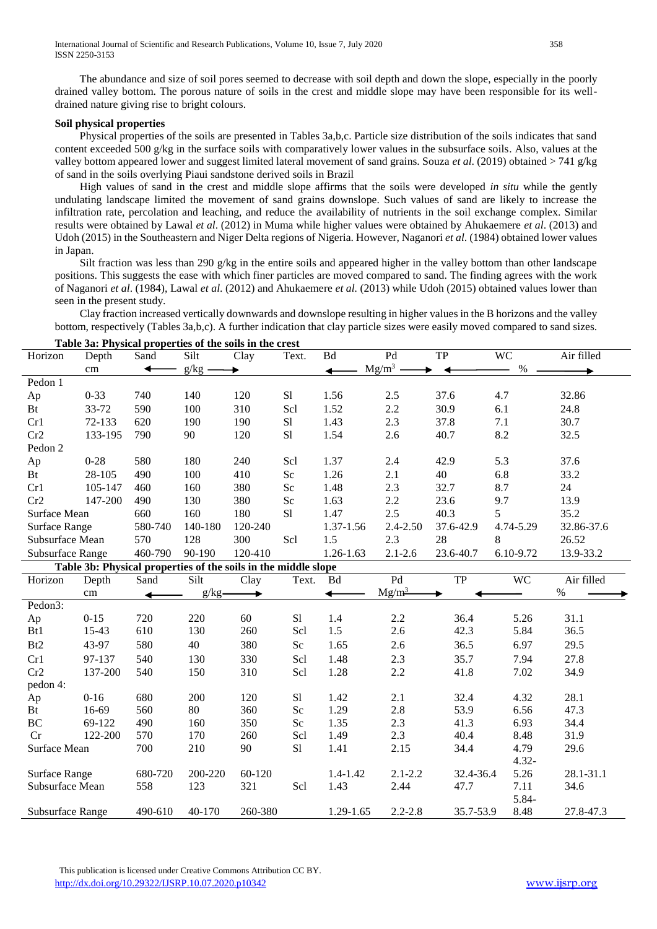The abundance and size of soil pores seemed to decrease with soil depth and down the slope, especially in the poorly drained valley bottom. The porous nature of soils in the crest and middle slope may have been responsible for its welldrained nature giving rise to bright colours.

#### **Soil physical properties**

 Physical properties of the soils are presented in Tables 3a,b,c. Particle size distribution of the soils indicates that sand content exceeded 500 g/kg in the surface soils with comparatively lower values in the subsurface soils. Also, values at the valley bottom appeared lower and suggest limited lateral movement of sand grains. Souza *et al*. (2019) obtained > 741 g/kg of sand in the soils overlying Piaui sandstone derived soils in Brazil

 High values of sand in the crest and middle slope affirms that the soils were developed *in situ* while the gently undulating landscape limited the movement of sand grains downslope. Such values of sand are likely to increase the infiltration rate, percolation and leaching, and reduce the availability of nutrients in the soil exchange complex. Similar results were obtained by Lawal *et al*. (2012) in Muma while higher values were obtained by Ahukaemere *et al*. (2013) and Udoh (2015) in the Southeastern and Niger Delta regions of Nigeria. However, Naganori *et al*. (1984) obtained lower values in Japan.

 Silt fraction was less than 290 g/kg in the entire soils and appeared higher in the valley bottom than other landscape positions. This suggests the ease with which finer particles are moved compared to sand. The finding agrees with the work of Naganori *et al*. (1984), Lawal *et al*. (2012) and Ahukaemere *et al.* (2013) while Udoh (2015) obtained values lower than seen in the present study.

 Clay fraction increased vertically downwards and downslope resulting in higher values in the B horizons and the valley bottom, respectively (Tables 3a,b,c). A further indication that clay particle sizes were easily moved compared to sand sizes.

| Table 3a: Physical properties of the soils in the crest |                                                                |         |          |         |          |                         |                 |           |           |            |  |  |  |
|---------------------------------------------------------|----------------------------------------------------------------|---------|----------|---------|----------|-------------------------|-----------------|-----------|-----------|------------|--|--|--|
| Horizon                                                 | Depth                                                          | Sand    | Silt     | Clay    | Text.    | $\mathbf{B} \mathbf{d}$ | $\overline{Pd}$ | TP        | <b>WC</b> | Air filled |  |  |  |
|                                                         | cm                                                             | ↞       | $g/kg -$ |         |          | ↞                       | $Mg/m^3$        |           | $\%$      |            |  |  |  |
| Pedon 1                                                 |                                                                |         |          |         |          |                         |                 |           |           |            |  |  |  |
| Ap                                                      | $0 - 33$                                                       | 740     | 140      | 120     | S1       | 1.56                    | 2.5             | 37.6      | 4.7       | 32.86      |  |  |  |
| Bt                                                      | 33-72                                                          | 590     | 100      | 310     | Scl      | 1.52                    | 2.2             | 30.9      | 6.1       | 24.8       |  |  |  |
| Cr1                                                     | 72-133                                                         | 620     | 190      | 190     | S1       | 1.43                    | 2.3             | 37.8      | 7.1       | 30.7       |  |  |  |
| Cr2                                                     | 133-195                                                        | 790     | 90       | 120     | S1       | 1.54                    | 2.6             | 40.7      | 8.2       | 32.5       |  |  |  |
| Pedon 2                                                 |                                                                |         |          |         |          |                         |                 |           |           |            |  |  |  |
| Ap                                                      | $0 - 28$                                                       | 580     | 180      | 240     | Scl      | 1.37                    | 2.4             | 42.9      | 5.3       | 37.6       |  |  |  |
| Bt                                                      | 28-105                                                         | 490     | 100      | 410     | Sc       | 1.26                    | 2.1             | 40        | 6.8       | 33.2       |  |  |  |
| Cr1                                                     | 105-147                                                        | 460     | 160      | 380     | Sc       | 1.48                    | 2.3             | 32.7      | 8.7       | 24         |  |  |  |
| Cr2                                                     | 147-200                                                        | 490     | 130      | 380     | Sc       | 1.63                    | 2.2             | 23.6      | 9.7       | 13.9       |  |  |  |
| Surface Mean                                            |                                                                | 660     | 160      | 180     | S1       | 1.47                    | 2.5             | 40.3      | 5         | 35.2       |  |  |  |
| <b>Surface Range</b>                                    |                                                                | 580-740 | 140-180  | 120-240 |          | $1.37 - 1.56$           | $2.4 - 2.50$    | 37.6-42.9 | 4.74-5.29 | 32.86-37.6 |  |  |  |
| Subsurface Mean                                         |                                                                | 570     | 128      | 300     | Scl      | 1.5                     | 2.3             | 28        | 8         | 26.52      |  |  |  |
| Subsurface Range                                        |                                                                | 460-790 | 90-190   | 120-410 |          | 1.26-1.63               | $2.1 - 2.6$     | 23.6-40.7 | 6.10-9.72 | 13.9-33.2  |  |  |  |
|                                                         | Table 3b: Physical properties of the soils in the middle slope |         |          |         |          |                         |                 |           |           |            |  |  |  |
| Horizon                                                 | Depth                                                          | Sand    | Silt     | Clay    | Text.    | <b>Bd</b>               | Pd              | <b>TP</b> | <b>WC</b> | Air filled |  |  |  |
|                                                         | cm                                                             | ◢       | $g/kg -$ |         |          | ◢                       | $Mg/m^3$        |           |           | $\%$       |  |  |  |
| Pedon3:                                                 |                                                                |         |          |         |          |                         |                 |           |           |            |  |  |  |
| Ap                                                      | $0 - 15$                                                       | 720     | 220      | 60      | S1       | 1.4                     | 2.2             | 36.4      | 5.26      | 31.1       |  |  |  |
| Bt1                                                     | 15-43                                                          | 610     | 130      | 260     | Scl      | 1.5                     | 2.6             | 42.3      | 5.84      | 36.5       |  |  |  |
| Bt2                                                     | 43-97                                                          | 580     | 40       | 380     | $\rm Sc$ | 1.65                    | 2.6             | 36.5      | 6.97      | 29.5       |  |  |  |
| Cr1                                                     | 97-137                                                         | 540     | 130      | 330     | Scl      | 1.48                    | 2.3             | 35.7      | 7.94      | 27.8       |  |  |  |
| Cr2                                                     | 137-200                                                        | 540     | 150      | 310     | Scl      | 1.28                    | 2.2             | 41.8      | 7.02      | 34.9       |  |  |  |
| pedon 4:                                                |                                                                |         |          |         |          |                         |                 |           |           |            |  |  |  |
| Ap                                                      | $0 - 16$                                                       | 680     | 200      | 120     | S1       | 1.42                    | 2.1             | 32.4      | 4.32      | 28.1       |  |  |  |
| Bt                                                      | 16-69                                                          | 560     | 80       | 360     | Sc       | 1.29                    | 2.8             | 53.9      | 6.56      | 47.3       |  |  |  |
| BC                                                      | 69-122                                                         | 490     | 160      | 350     | Sc       | 1.35                    | 2.3             | 41.3      | 6.93      | 34.4       |  |  |  |
| Cr                                                      | 122-200                                                        | 570     | 170      | 260     | Scl      | 1.49                    | 2.3             | 40.4      | 8.48      | 31.9       |  |  |  |
| Surface Mean                                            |                                                                | 700     | 210      | 90      | S1       | 1.41                    | 2.15            | 34.4      | 4.79      | 29.6       |  |  |  |
|                                                         |                                                                |         |          |         |          |                         |                 |           | $4.32 -$  |            |  |  |  |
| Surface Range                                           |                                                                | 680-720 | 200-220  | 60-120  |          | 1.4-1.42                | $2.1 - 2.2$     | 32.4-36.4 | 5.26      | 28.1-31.1  |  |  |  |
| Subsurface Mean                                         |                                                                | 558     | 123      | 321     | Scl      | 1.43                    | 2.44            | 47.7      | 7.11      | 34.6       |  |  |  |
|                                                         |                                                                |         |          |         |          |                         |                 |           | 5.84-     |            |  |  |  |
| Subsurface Range                                        |                                                                | 490-610 | 40-170   | 260-380 |          | 1.29-1.65               | $2.2 - 2.8$     | 35.7-53.9 | 8.48      | 27.8-47.3  |  |  |  |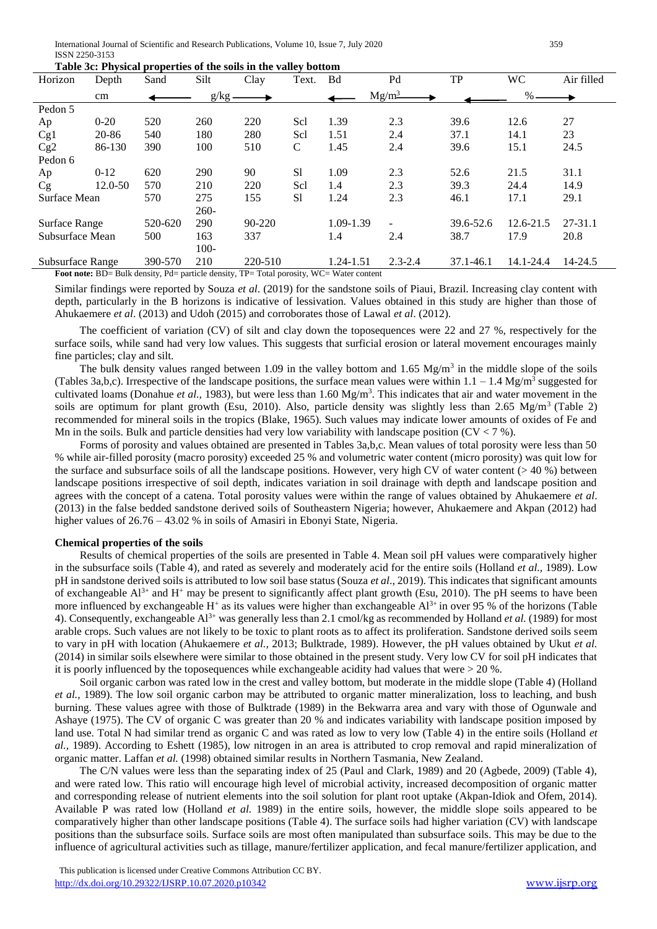| Horizon          | Depth    | Sand    | Silt     | Clay       | Text.           | <b>Bd</b> | Pd                | TP        | WС            | Air filled  |
|------------------|----------|---------|----------|------------|-----------------|-----------|-------------------|-----------|---------------|-------------|
|                  | cm       |         | $g/kg$ . |            |                 |           | Mg/m <sup>3</sup> |           | $% =$         |             |
| Pedon 5          |          |         |          |            |                 |           |                   |           |               |             |
| Ap               | $0 - 20$ | 520     | 260      | 220        | Scl             | 1.39      | 2.3               | 39.6      | 12.6          | 27          |
| Cg1              | 20-86    | 540     | 180      | 280        | Scl             | 1.51      | 2.4               | 37.1      | 14.1          | 23          |
| Cg2              | 86-130   | 390     | 100      | 510        | $\mathcal{C}$   | 1.45      | 2.4               | 39.6      | 15.1          | 24.5        |
| Pedon 6          |          |         |          |            |                 |           |                   |           |               |             |
| Ap               | $0-12$   | 620     | 290      | 90         | S1              | 1.09      | 2.3               | 52.6      | 21.5          | 31.1        |
| Cg               | 12.0-50  | 570     | 210      | 220        | Sc <sub>1</sub> | 1.4       | 2.3               | 39.3      | 24.4          | 14.9        |
| Surface Mean     |          | 570     | 275      | 155        | S1              | 1.24      | 2.3               | 46.1      | 17.1          | 29.1        |
|                  |          |         | $260-$   |            |                 |           |                   |           |               |             |
| Surface Range    |          | 520-620 | 290      | $90 - 220$ |                 | 1.09-1.39 |                   | 39.6-52.6 | $12.6 - 21.5$ | $27 - 31.1$ |
| Subsurface Mean  |          | 500     | 163      | 337        |                 | 1.4       | 2.4               | 38.7      | 17.9          | 20.8        |
|                  |          |         | $100 -$  |            |                 |           |                   |           |               |             |
| Subsurface Range |          | 390-570 | 210      | 220-510    |                 | 1.24-1.51 | $2.3 - 2.4$       | 37.1-46.1 | 14.1-24.4     | 14-24.5     |

Foot note: BD= Bulk density, Pd= particle density, TP= Total porosity, WC= Water content

Similar findings were reported by Souza *et al*. (2019) for the sandstone soils of Piaui, Brazil. Increasing clay content with depth, particularly in the B horizons is indicative of lessivation. Values obtained in this study are higher than those of Ahukaemere *et al*. (2013) and Udoh (2015) and corroborates those of Lawal *et al*. (2012).

 The coefficient of variation (CV) of silt and clay down the toposequences were 22 and 27 %, respectively for the surface soils, while sand had very low values. This suggests that surficial erosion or lateral movement encourages mainly fine particles; clay and silt.

The bulk density values ranged between 1.09 in the valley bottom and 1.65 Mg/m<sup>3</sup> in the middle slope of the soils (Tables 3a,b,c). Irrespective of the landscape positions, the surface mean values were within  $1.1 - 1.4$  Mg/m<sup>3</sup> suggested for cultivated loams (Donahue *et al.*, 1983), but were less than 1.60 Mg/m<sup>3</sup>. This indicates that air and water movement in the soils are optimum for plant growth (Esu, 2010). Also, particle density was slightly less than 2.65 Mg/m<sup>3</sup> (Table 2) recommended for mineral soils in the tropics (Blake, 1965). Such values may indicate lower amounts of oxides of Fe and Mn in the soils. Bulk and particle densities had very low variability with landscape position ( $CV < 7$ %).

 Forms of porosity and values obtained are presented in Tables 3a,b,c. Mean values of total porosity were less than 50 % while air-filled porosity (macro porosity) exceeded 25 % and volumetric water content (micro porosity) was quit low for the surface and subsurface soils of all the landscape positions. However, very high CV of water content  $(> 40 \%)$  between landscape positions irrespective of soil depth, indicates variation in soil drainage with depth and landscape position and agrees with the concept of a catena. Total porosity values were within the range of values obtained by Ahukaemere *et al*. (2013) in the false bedded sandstone derived soils of Southeastern Nigeria; however, Ahukaemere and Akpan (2012) had higher values of 26.76 - 43.02 % in soils of Amasiri in Ebonyi State, Nigeria.

#### **Chemical properties of the soils**

 Results of chemical properties of the soils are presented in Table 4. Mean soil pH values were comparatively higher in the subsurface soils (Table 4), and rated as severely and moderately acid for the entire soils (Holland *et al.,* 1989). Low pH in sandstone derived soils is attributed to low soil base status (Souza *et al*., 2019). This indicates that significant amounts of exchangeable  $Al^{3+}$  and H<sup>+</sup> may be present to significantly affect plant growth (Esu, 2010). The pH seems to have been more influenced by exchangeable  $H^+$  as its values were higher than exchangeable  $Al^{3+}$  in over 95 % of the horizons (Table 4). Consequently, exchangeable Al3+ was generally less than 2.1 cmol/kg as recommended by Holland *et al.* (1989) for most arable crops. Such values are not likely to be toxic to plant roots as to affect its proliferation. Sandstone derived soils seem to vary in pH with location (Ahukaemere *et al.,* 2013; Bulktrade, 1989). However, the pH values obtained by Ukut *et al.* (2014) in similar soils elsewhere were similar to those obtained in the present study. Very low CV for soil pH indicates that it is poorly influenced by the toposequences while exchangeable acidity had values that were  $> 20$  %.

 Soil organic carbon was rated low in the crest and valley bottom, but moderate in the middle slope (Table 4) (Holland *et al.,* 1989). The low soil organic carbon may be attributed to organic matter mineralization, loss to leaching, and bush burning. These values agree with those of Bulktrade (1989) in the Bekwarra area and vary with those of Ogunwale and Ashaye (1975). The CV of organic C was greater than 20 % and indicates variability with landscape position imposed by land use. Total N had similar trend as organic C and was rated as low to very low (Table 4) in the entire soils (Holland *et al.,* 1989). According to Eshett (1985), low nitrogen in an area is attributed to crop removal and rapid mineralization of organic matter. Laffan *et al.* (1998) obtained similar results in Northern Tasmania, New Zealand.

 The C/N values were less than the separating index of 25 (Paul and Clark, 1989) and 20 (Agbede, 2009) (Table 4), and were rated low. This ratio will encourage high level of microbial activity, increased decomposition of organic matter and corresponding release of nutrient elements into the soil solution for plant root uptake (Akpan-Idiok and Ofem, 2014). Available P was rated low (Holland *et al.* 1989) in the entire soils, however, the middle slope soils appeared to be comparatively higher than other landscape positions (Table 4). The surface soils had higher variation (CV) with landscape positions than the subsurface soils. Surface soils are most often manipulated than subsurface soils. This may be due to the influence of agricultural activities such as tillage, manure/fertilizer application, and fecal manure/fertilizer application, and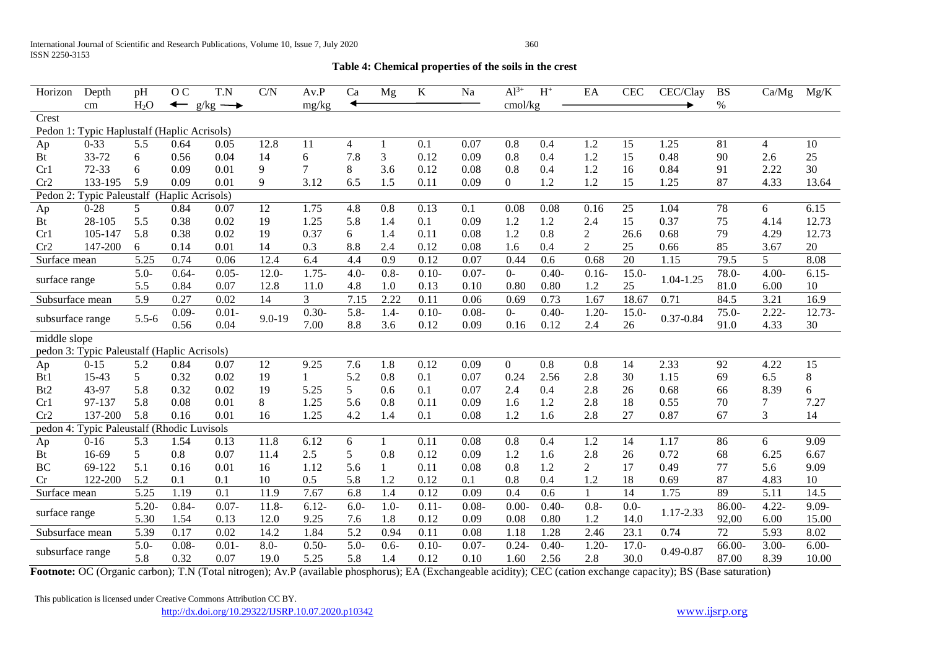### **Table 4: Chemical properties of the soils in the crest**

| Horizon          | Depth                                       | pH               | O <sub>C</sub>                   | T.N           | C/N        | Av.P           | Ca      | Mg           | $\bf K$  | Na       | $Al^{3+}$ | $\mathbf{H}^+$ | EA             | <b>CEC</b> | CEC/Clay      | <b>BS</b> | Ca/Mg    | Mg/K            |
|------------------|---------------------------------------------|------------------|----------------------------------|---------------|------------|----------------|---------|--------------|----------|----------|-----------|----------------|----------------|------------|---------------|-----------|----------|-----------------|
|                  | cm                                          | H <sub>2</sub> O | $\overline{\phantom{0}}$<br>g/kg | $\rightarrow$ |            | mg/kg          |         |              |          |          | cmol/kg   |                |                |            |               | $\%$      |          |                 |
| Crest            |                                             |                  |                                  |               |            |                |         |              |          |          |           |                |                |            |               |           |          |                 |
|                  | Pedon 1: Typic Haplustalf (Haplic Acrisols) |                  |                                  |               |            |                |         |              |          |          |           |                |                |            |               |           |          |                 |
| Ap               | $0 - 33$                                    | 5.5              | 0.64                             | 0.05          | 12.8       | 11             | 4       |              | 0.1      | 0.07     | 0.8       | 0.4            | 1.2            | 15         | 1.25          | 81        | 4        | 10              |
| Bt               | 33-72                                       | 6                | 0.56                             | 0.04          | 14         | 6              | 7.8     | 3            | 0.12     | 0.09     | 0.8       | 0.4            | 1.2            | 15         | 0.48          | 90        | 2.6      | $25\,$          |
| Cr1              | 72-33                                       | 6                | 0.09                             | 0.01          | 9          | 7              | 8       | 3.6          | 0.12     | 0.08     | 0.8       | 0.4            | 1.2            | 16         | 0.84          | 91        | 2.22     | 30              |
| Cr2              | 133-195                                     | 5.9              | 0.09                             | 0.01          | 9          | 3.12           | 6.5     | 1.5          | 0.11     | 0.09     | 0         | 1.2            | 1.2            | 15         | 1.25          | 87        | 4.33     | 13.64           |
| Pedon 2:         | <b>Typic Paleustalf</b>                     |                  | (Haplic Acrisols)                |               |            |                |         |              |          |          |           |                |                |            |               |           |          |                 |
| Ap               | $0 - 28$                                    | 5                | 0.84                             | 0.07          | 12         | 1.75           | 4.8     | 0.8          | 0.13     | 0.1      | 0.08      | 0.08           | 0.16           | 25         | 1.04          | 78        | 6        | 6.15            |
| <b>Bt</b>        | 28-105                                      | 5.5              | 0.38                             | 0.02          | 19         | 1.25           | 5.8     | 1.4          | 0.1      | 0.09     | 1.2       | 1.2            | 2.4            | 15         | 0.37          | 75        | 4.14     | 12.73           |
| Cr1              | 105-147                                     | 5.8              | 0.38                             | 0.02          | 19         | 0.37           | 6       | 1.4          | 0.11     | 0.08     | 1.2       | 0.8            | $\overline{2}$ | 26.6       | 0.68          | 79        | 4.29     | 12.73           |
| Cr2              | 147-200                                     | 6                | 0.14                             | 0.01          | 14         | 0.3            | 8.8     | 2.4          | 0.12     | 0.08     | 1.6       | 0.4            | $\overline{2}$ | 25         | 0.66          | 85        | 3.67     | 20              |
| Surface mean     |                                             | 5.25             | 0.74                             | 0.06          | 12.4       | 6.4            | 4.4     | 0.9          | 0.12     | 0.07     | 0.44      | 0.6            | 0.68           | 20         | 1.15          | 79.5      | 5        | 8.08            |
|                  |                                             | $5.0 -$          | $0.64 -$                         | $0.05 -$      | $12.0 -$   | $1.75-$        | $4.0 -$ | $0.8 -$      | $0.10-$  | $0.07 -$ | $O-$      | $0.40-$        | $0.16 -$       | $15.0 -$   | $1.04 - 1.25$ | 78.0-     | $4.00 -$ | $6.15 -$        |
| surface range    |                                             | 5.5              | 0.84                             | 0.07          | 12.8       | 11.0           | 4.8     | 1.0          | 0.13     | 0.10     | 0.80      | 0.80           | 1.2            | 25         |               | 81.0      | 6.00     | 10              |
| Subsurface mean  |                                             | 5.9              | 0.27                             | 0.02          | 14         | $\mathfrak{Z}$ | 7.15    | 2.22         | 0.11     | 0.06     | 0.69      | 0.73           | 1.67           | 18.67      | 0.71          | 84.5      | 3.21     | 16.9            |
|                  |                                             | $5.5 - 6$        | $0.09 -$                         | $0.01 -$      | $9.0 - 19$ | $0.30 -$       | $5.8 -$ | $1.4 -$      | $0.10 -$ | $0.08 -$ | $0-$      | $0.40 -$       | $1.20 -$       | $15.0 -$   | $0.37 - 0.84$ | $75.0 -$  | $2.22 -$ | $12.73-$        |
| subsurface range |                                             |                  | 0.56                             | 0.04          |            | 7.00           | 8.8     | 3.6          | 0.12     | 0.09     | 0.16      | 0.12           | 2.4            | 26         |               | 91.0      | 4.33     | 30              |
| middle slope     |                                             |                  |                                  |               |            |                |         |              |          |          |           |                |                |            |               |           |          |                 |
|                  | pedon 3: Typic Paleustalf (Haplic Acrisols) |                  |                                  |               |            |                |         |              |          |          |           |                |                |            |               |           |          |                 |
| Ap               | $0 - 15$                                    | 5.2              | 0.84                             | 0.07          | 12         | 9.25           | 7.6     | 1.8          | 0.12     | 0.09     | $\Omega$  | 0.8            | 0.8            | 14         | 2.33          | 92        | 4.22     | $\overline{15}$ |
| B <sub>t1</sub>  | 15-43                                       | 5                | 0.32                             | 0.02          | 19         | 1              | 5.2     | 0.8          | 0.1      | 0.07     | 0.24      | 2.56           | 2.8            | 30         | 1.15          | 69        | 6.5      | $8\,$           |
| B <sub>t2</sub>  | 43-97                                       | 5.8              | 0.32                             | 0.02          | 19         | 5.25           | 5       | 0.6          | 0.1      | 0.07     | 2.4       | 0.4            | 2.8            | 26         | 0.68          | 66        | 8.39     | 6               |
| Cr1              | 97-137                                      | 5.8              | 0.08                             | 0.01          | 8          | 1.25           | 5.6     | 0.8          | 0.11     | 0.09     | 1.6       | 1.2            | 2.8            | 18         | 0.55          | 70        | 7        | 7.27            |
| Cr2              | 137-200                                     | 5.8              | 0.16                             | 0.01          | 16         | 1.25           | 4.2     | 1.4          | 0.1      | 0.08     | 1.2       | 1.6            | 2.8            | 27         | 0.87          | 67        | 3        | 14              |
| pedon 4:         | Typic Paleustalf (Rhodic Luvisols           |                  |                                  |               |            |                |         |              |          |          |           |                |                |            |               |           |          |                 |
| Ap               | $0 - 16$                                    | 5.3              | 1.54                             | 0.13          | 11.8       | 6.12           | 6       | $\mathbf{1}$ | 0.11     | 0.08     | 0.8       | 0.4            | 1.2            | 14         | 1.17          | 86        | 6        | 9.09            |
| Bt               | 16-69                                       | 5                | 0.8                              | 0.07          | 11.4       | 2.5            | 5       | 0.8          | 0.12     | 0.09     | 1.2       | 1.6            | 2.8            | 26         | 0.72          | 68        | 6.25     | 6.67            |
| <b>BC</b>        | 69-122                                      | 5.1              | 0.16                             | 0.01          | 16         | 1.12           | 5.6     | $\mathbf{1}$ | 0.11     | 0.08     | 0.8       | 1.2            | 2              | 17         | 0.49          | 77        | 5.6      | 9.09            |
| Cr               | 122-200                                     | 5.2              | 0.1                              | 0.1           | 10         | 0.5            | 5.8     | 1.2          | 0.12     | 0.1      | 0.8       | 0.4            | 1.2            | 18         | 0.69          | 87        | 4.83     | 10              |
| Surface mean     |                                             | 5.25             | 1.19                             | 0.1           | 11.9       | 7.67           | 6.8     | 1.4          | 0.12     | 0.09     | 0.4       | 0.6            | $\mathbf{1}$   | 14         | 1.75          | 89        | 5.11     | 14.5            |
| surface range    |                                             | $5.20 -$         | $0.84 -$                         | $0.07 -$      | $11.8 -$   | $6.12 -$       | $6.0 -$ | $1.0 -$      | $0.11 -$ | $0.08 -$ | $0.00 -$  | $0.40-$        | $0.8 -$        | $0.0 -$    | 1.17-2.33     | 86.00-    | $4.22 -$ | $9.09 -$        |
|                  |                                             | 5.30             | 1.54                             | 0.13          | 12.0       | 9.25           | 7.6     | 1.8          | 0.12     | 0.09     | 0.08      | 0.80           | 1.2            | 14.0       |               | 92,00     | 6.00     | 15.00           |
| Subsurface mean  |                                             | 5.39             | 0.17                             | 0.02          | 14.2       | 1.84           | 5.2     | 0.94         | 0.11     | 0.08     | 1.18      | 1.28           | 2.46           | 23.1       | 0.74          | 72        | 5.93     | 8.02            |
|                  |                                             | $5.0 -$          | $0.08 -$                         | $0.01 -$      | $8.0 -$    | $0.50 -$       | $5.0 -$ | $0.6 -$      | $0.10-$  | $0.07 -$ | $0.24 -$  | $0.40 -$       | $1.20 -$       | $17.0 -$   | $0.49 - 0.87$ | 66.00-    | $3.00 -$ | $6.00-$         |
| subsurface range |                                             | 5.8              | 0.32                             | 0.07          | 19.0       | 5.25           | 5.8     | 1.4          | 0.12     | 0.10     | 1.60      | 2.56           | 2.8            | 30.0       |               | 87.00     | 8.39     | 10.00           |

**Footnote:** OC (Organic carbon); T.N (Total nitrogen); Av.P (available phosphorus); EA (Exchangeable acidity); CEC (cation exchange capacity); BS (Base saturation)

This publication is licensed under Creative Commons Attribution CC BY.

<http://dx.doi.org/10.29322/IJSRP.10.07.2020.p10342> [www.ijsrp.org](http://ijsrp.org/)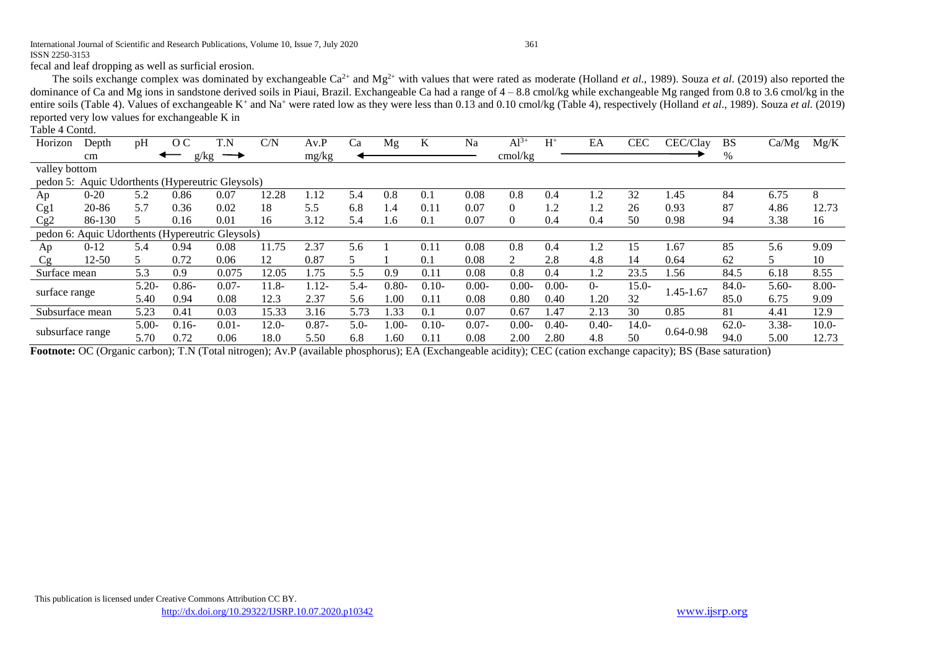#### International Journal of Scientific and Research Publications, Volume 10, Issue 7, July 2020 361 ISSN 2250-3153

fecal and leaf dropping as well as surficial erosion.

The soils exchange complex was dominated by exchangeable  $Ca^{2+}$  and  $Mg^{2+}$  with values that were rated as moderate (Holland *et al.*, 1989). Souza *et al.* (2019) also reported the dominance of Ca and Mg ions in sandstone derived soils in Piaui, Brazil. Exchangeable Ca had a range of  $4 - 8.8$  cmol/kg while exchangeable Mg ranged from 0.8 to 3.6 cmol/kg in the entire soils (Table 4). Values of exchangeable K<sup>+</sup> and Na<sup>+</sup> were rated low as they were less than 0.13 and 0.10 cmol/kg (Table 4), respectively (Holland *et al.*, 1989). Souza *et al.*, (2019) reported very low values for exchangeable K in

#### Table 4 Contd.

| Horizon                                          | Depth         | pH       | O <sub>C</sub> | T.N           | C/N     | Av.P     | Ca      | Mg       | K       | Na       | $Al^{3+}$      | $H^+$    | EA             | <b>CEC</b> | CEC/Clay      | <b>BS</b> | Ca/Mg    | Mg/K     |
|--------------------------------------------------|---------------|----------|----------------|---------------|---------|----------|---------|----------|---------|----------|----------------|----------|----------------|------------|---------------|-----------|----------|----------|
|                                                  | cm            |          | g/kg           | $\rightarrow$ |         | mg/kg    |         |          |         |          | cmol/kg        |          |                |            |               | %         |          |          |
|                                                  | valley bottom |          |                |               |         |          |         |          |         |          |                |          |                |            |               |           |          |          |
| pedon 5: Aquic Udorthents (Hypereutric Gleysols) |               |          |                |               |         |          |         |          |         |          |                |          |                |            |               |           |          |          |
| Ap                                               | $0 - 20$      | 5.2      | 0.86           | 0.07          | 12.28   | 1.12     | 5.4     | 0.8      | 0.1     | 0.08     | 0.8            | 0.4      | $\overline{2}$ | 32         | 1.45          | 84        | 6.75     | 8        |
| Cg1                                              | 20-86         | 5.7      | 0.36           | 0.02          | 18      | 5.5      | 6.8     | 1.4      | 0.11    | 0.07     | $\Omega$       | 1.2      | 1.2            | 26         | 0.93          | 87        | 4.86     | 12.73    |
| Cg2                                              | 86-130        |          | 0.16           | 0.01          | 16      | 3.12     | 5.4     | 1.6      | 0.1     | 0.07     | $\overline{0}$ | 0.4      | 0.4            | 50         | 0.98          | 94        | 3.38     | 16       |
| pedon 6: Aquic Udorthents (Hypereutric Gleysols) |               |          |                |               |         |          |         |          |         |          |                |          |                |            |               |           |          |          |
| Ap                                               | $0-12$        | 5.4      | 0.94           | 0.08          | 11.75   | 2.37     | 5.6     |          | 0.11    | 0.08     | 0.8            | 0.4      | 1.2            | 15         | 1.67          | 85        | 5.6      | 9.09     |
| Cg                                               | 12-50         | 5.       | 0.72           | 0.06          | 12      | 0.87     | 5       |          | 0.1     | 0.08     | 2              | 2.8      | 4.8            | 14         | 0.64          | 62        | 5        | 10       |
| Surface mean                                     |               | 5.3      | 0.9            | 0.075         | 12.05   | 75       | 5.5     | 0.9      | 0.11    | 0.08     | 0.8            | 0.4      | 1.2            | 23.5       | 1.56          | 84.5      | 6.18     | 8.55     |
|                                                  |               | $5.20 -$ | $0.86 -$       | $0.07 -$      | 11.8-   | $.12-$   | $5.4 -$ | $0.80 -$ | $0.10-$ | $0.00 -$ | $0.00-$        | $0.00 -$ | $0-$           | $15.0 -$   |               | $84.0-$   | $5.60-$  | $8.00 -$ |
| surface range                                    |               | 5.40     | 0.94           | 0.08          | 12.3    | 2.37     | 5.6     | 0.00     | 0.11    | 0.08     | 0.80           | 0.40     | .20            | 32         | 1.45-1.67     | 85.0      | 6.75     | 9.09     |
| Subsurface mean                                  |               | 5.23     | 0.41           | 0.03          | 15.33   | 3.16     | 5.73    | 1.33     | 0.1     | 0.07     | 0.67           | 1.47     | 2.13           | 30         | 0.85          | 81        | 4.41     | 12.9     |
|                                                  |               | $5.00-$  | $0.16-$        | $0.01 -$      | $12.0-$ | $0.87 -$ | $5.0-$  | -00.1    | $0.10-$ | $0.07 -$ | $0.00-$        | $0.40-$  | $0.40-$        | $14.0-$    | $0.64 - 0.98$ | $62.0-$   | $3.38 -$ | $10.0-$  |
| subsurface range                                 |               | 5.70     | 0.72           | 0.06          | 18.0    | 5.50     | 6.8     | .60      | 0.11    | 0.08     | 2.00           | 2.80     | 4.8            | 50         |               | 94.0      | 5.00     | 12.73    |

**Footnote:** OC (Organic carbon); T.N (Total nitrogen); Av.P (available phosphorus); EA (Exchangeable acidity); CEC (cation exchange capacity); BS (Base saturation)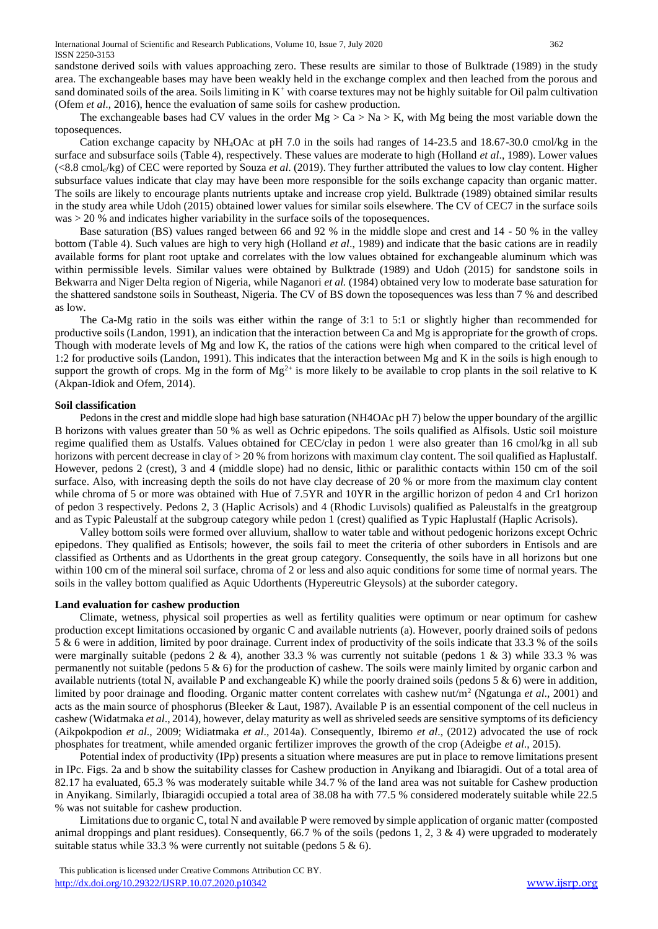sandstone derived soils with values approaching zero. These results are similar to those of Bulktrade (1989) in the study area. The exchangeable bases may have been weakly held in the exchange complex and then leached from the porous and sand dominated soils of the area. Soils limiting in  $K^+$  with coarse textures may not be highly suitable for Oil palm cultivation (Ofem *et al*., 2016), hence the evaluation of same soils for cashew production.

The exchangeable bases had CV values in the order  $Mg > Ca > Na > K$ , with Mg being the most variable down the toposequences.

 Cation exchange capacity by NH4OAc at pH 7.0 in the soils had ranges of 14-23.5 and 18.67-30.0 cmol/kg in the surface and subsurface soils (Table 4), respectively. These values are moderate to high (Holland *et al*., 1989). Lower values (<8.8 cmolc/kg) of CEC were reported by Souza *et al*. (2019). They further attributed the values to low clay content. Higher subsurface values indicate that clay may have been more responsible for the soils exchange capacity than organic matter. The soils are likely to encourage plants nutrients uptake and increase crop yield. Bulktrade (1989) obtained similar results in the study area while Udoh (2015) obtained lower values for similar soils elsewhere. The CV of CEC7 in the surface soils  $was > 20$  % and indicates higher variability in the surface soils of the toposequences.

 Base saturation (BS) values ranged between 66 and 92 % in the middle slope and crest and 14 - 50 % in the valley bottom (Table 4). Such values are high to very high (Holland *et al*., 1989) and indicate that the basic cations are in readily available forms for plant root uptake and correlates with the low values obtained for exchangeable aluminum which was within permissible levels. Similar values were obtained by Bulktrade (1989) and Udoh (2015) for sandstone soils in Bekwarra and Niger Delta region of Nigeria, while Naganori *et al.* (1984) obtained very low to moderate base saturation for the shattered sandstone soils in Southeast, Nigeria. The CV of BS down the toposequences was less than 7 % and described as low.

 The Ca-Mg ratio in the soils was either within the range of 3:1 to 5:1 or slightly higher than recommended for productive soils (Landon, 1991), an indication that the interaction between Ca and Mg is appropriate for the growth of crops. Though with moderate levels of Mg and low K, the ratios of the cations were high when compared to the critical level of 1:2 for productive soils (Landon, 1991). This indicates that the interaction between Mg and K in the soils is high enough to support the growth of crops. Mg in the form of  $Mg^{2+}$  is more likely to be available to crop plants in the soil relative to K (Akpan-Idiok and Ofem, 2014).

#### **Soil classification**

 Pedons in the crest and middle slope had high base saturation (NH4OAc pH 7) below the upper boundary of the argillic B horizons with values greater than 50 % as well as Ochric epipedons. The soils qualified as Alfisols. Ustic soil moisture regime qualified them as Ustalfs. Values obtained for CEC/clay in pedon 1 were also greater than 16 cmol/kg in all sub horizons with percent decrease in clay of > 20 % from horizons with maximum clay content. The soil qualified as Haplustalf. However, pedons 2 (crest), 3 and 4 (middle slope) had no densic, lithic or paralithic contacts within 150 cm of the soil surface. Also, with increasing depth the soils do not have clay decrease of 20 % or more from the maximum clay content while chroma of 5 or more was obtained with Hue of 7.5YR and 10YR in the argillic horizon of pedon 4 and Cr1 horizon of pedon 3 respectively. Pedons 2, 3 (Haplic Acrisols) and 4 (Rhodic Luvisols) qualified as Paleustalfs in the greatgroup and as Typic Paleustalf at the subgroup category while pedon 1 (crest) qualified as Typic Haplustalf (Haplic Acrisols).

 Valley bottom soils were formed over alluvium, shallow to water table and without pedogenic horizons except Ochric epipedons. They qualified as Entisols; however, the soils fail to meet the criteria of other suborders in Entisols and are classified as Orthents and as Udorthents in the great group category. Consequently, the soils have in all horizons but one within 100 cm of the mineral soil surface, chroma of 2 or less and also aquic conditions for some time of normal years. The soils in the valley bottom qualified as Aquic Udorthents (Hypereutric Gleysols) at the suborder category.

#### **Land evaluation for cashew production**

 Climate, wetness, physical soil properties as well as fertility qualities were optimum or near optimum for cashew production except limitations occasioned by organic C and available nutrients (a). However, poorly drained soils of pedons 5 & 6 were in addition, limited by poor drainage. Current index of productivity of the soils indicate that 33.3 % of the soils were marginally suitable (pedons 2 & 4), another 33.3 % was currently not suitable (pedons 1 & 3) while 33.3 % was permanently not suitable (pedons  $5 \& 6$ ) for the production of cashew. The soils were mainly limited by organic carbon and available nutrients (total N, available P and exchangeable K) while the poorly drained soils (pedons 5  $\&$  6) were in addition, limited by poor drainage and flooding. Organic matter content correlates with cashew nut/m<sup>2</sup> (Ngatunga *et al.*, 2001) and acts as the main source of phosphorus (Bleeker & Laut, 1987). Available P is an essential component of the cell nucleus in cashew (Widatmaka *et al*., 2014), however, delay maturity as well as shriveled seeds are sensitive symptoms of its deficiency (Aikpokpodion *et al*., 2009; Widiatmaka *et al*., 2014a). Consequently, Ibiremo *et al*., (2012) advocated the use of rock phosphates for treatment, while amended organic fertilizer improves the growth of the crop (Adeigbe *et al*., 2015).

 Potential index of productivity (IPp) presents a situation where measures are put in place to remove limitations present in IPc. Figs. 2a and b show the suitability classes for Cashew production in Anyikang and Ibiaragidi. Out of a total area of 82.17 ha evaluated, 65.3 % was moderately suitable while 34.7 % of the land area was not suitable for Cashew production in Anyikang. Similarly, Ibiaragidi occupied a total area of 38.08 ha with 77.5 % considered moderately suitable while 22.5 % was not suitable for cashew production.

 Limitations due to organic C, total N and available P were removed by simple application of organic matter (composted animal droppings and plant residues). Consequently,  $66.7\%$  of the soils (pedons 1, 2, 3 & 4) were upgraded to moderately suitable status while 33.3 % were currently not suitable (pedons  $5 & 6$ ).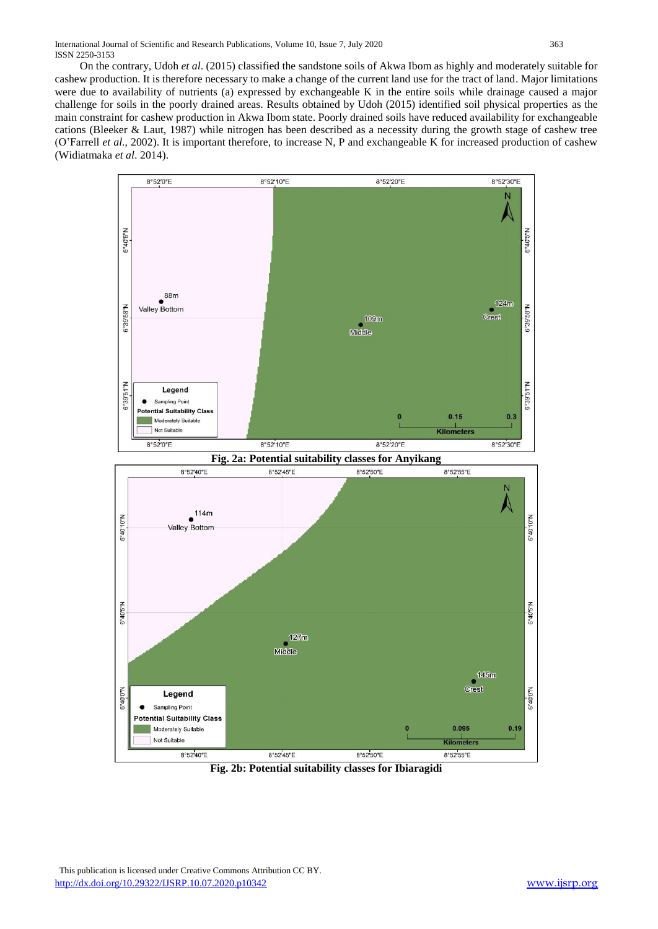On the contrary, Udoh *et al*. (2015) classified the sandstone soils of Akwa Ibom as highly and moderately suitable for cashew production. It is therefore necessary to make a change of the current land use for the tract of land. Major limitations were due to availability of nutrients (a) expressed by exchangeable K in the entire soils while drainage caused a major challenge for soils in the poorly drained areas. Results obtained by Udoh (2015) identified soil physical properties as the main constraint for cashew production in Akwa Ibom state. Poorly drained soils have reduced availability for exchangeable cations (Bleeker & Laut, 1987) while nitrogen has been described as a necessity during the growth stage of cashew tree (O'Farrell *et al*., 2002). It is important therefore, to increase N, P and exchangeable K for increased production of cashew (Widiatmaka *et al*. 2014).



**Fig. 2b: Potential suitability classes for Ibiaragidi**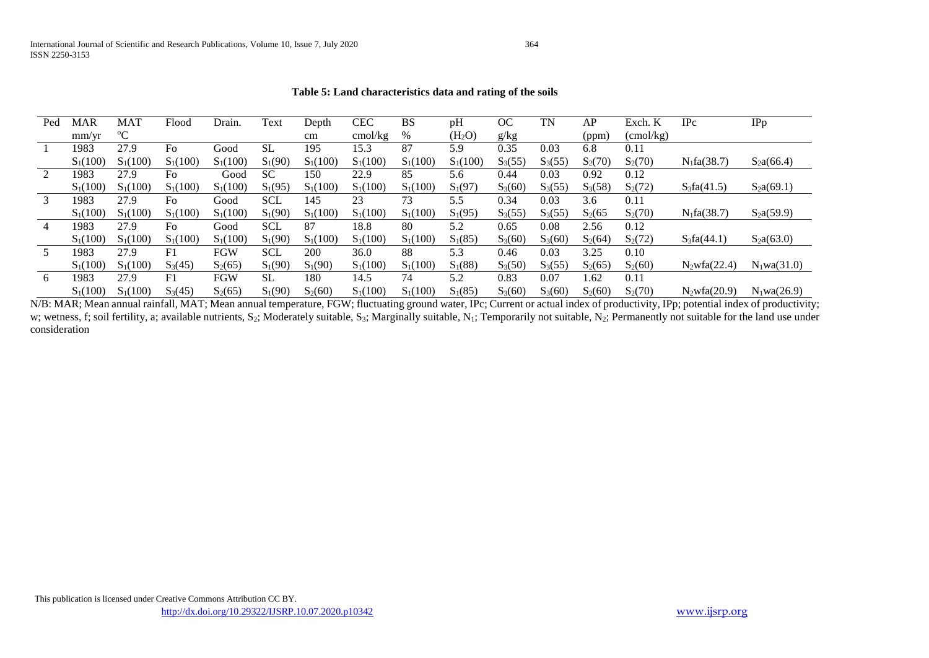#### **Table 5: Land characteristics data and rating of the soils**

| Ped | <b>MAR</b> | <b>MAT</b>  | Flood      | Drain.     | Text       | Depth      | <b>CEC</b> | <b>BS</b>  | pH                 | <b>OC</b> | TN        | AP        | Exch. K          | $_{\rm IPc}$       | IPp               |
|-----|------------|-------------|------------|------------|------------|------------|------------|------------|--------------------|-----------|-----------|-----------|------------------|--------------------|-------------------|
|     | mm/yr      | $\rm ^{o}C$ |            |            |            | cm         | cmol/kg    | %          | (H <sub>2</sub> O) | g/kg      |           | (ppm)     | $\text{cmol/kg}$ |                    |                   |
|     | 1983       | 27.9        | Fo         | Good       | SL.        | 195        | 15.3       | 87         | 5.9                | 0.35      | 0.03      | 6.8       | 0.11             |                    |                   |
|     | $S_1(100)$ | $S_1(100)$  | $S_1(100)$ | $S_1(100)$ | $S_1(90)$  | $S_1(100)$ | $S_1(100)$ | $S_1(100)$ | $S_1(100)$         | $S_3(55)$ | $S_3(55)$ | $S_2(70)$ | $S_2(70)$        | $N_1fa(38.7)$      | $S_2a(66.4)$      |
|     | 1983       | 27.9        | Fo         | Good       | <b>SC</b>  | 150        | 22.9       | 85         | 5.6                | 0.44      | 0.03      | 0.92      | 0.12             |                    |                   |
|     | $S_1(100)$ | $S_1(100)$  | $S_1(100)$ | $S_1(100)$ | $S_1(95)$  | $S_1(100)$ | $S_1(100)$ | $S_1(100)$ | $S_1(97)$          | $S_3(60)$ | $S_3(55)$ | $S_3(58)$ | $S_2(72)$        | $S_3fa(41.5)$      | $S_2a(69.1)$      |
|     | 1983       | 27.9        | Fo         | Good       | <b>SCL</b> | 145        | 23         | 73         | 5.5                | 0.34      | 0.03      | 3.6       | 0.11             |                    |                   |
|     | $S_1(100)$ | $S_1(100)$  | $S_1(100)$ | $S_1(100)$ | $S_1(90)$  | $S_1(100)$ | $S_1(100)$ | $S_1(100)$ | $S_1(95)$          | $S_3(55)$ | $S_3(55)$ | $S_2(65)$ | $S_2(70)$        | $N_1fa(38.7)$      | $S_2a(59.9)$      |
| 4   | 1983       | 27.9        | Fo         | Good       | <b>SCL</b> | 87         | 18.8       | 80         | 5.2                | 0.65      | 0.08      | 2.56      | 0.12             |                    |                   |
|     | $S_1(100)$ | $S_1(100)$  | $S_1(100)$ | $S_1(100)$ | $S_1(90)$  | $S_1(100)$ | $S_1(100)$ | $S_1(100)$ | $S_1(85)$          | $S_3(60)$ | $S_3(60)$ | $S_2(64)$ | $S_2(72)$        | $S_3fa(44.1)$      | $S_2a(63.0)$      |
|     | 1983       | 27.9        | F1         | <b>FGW</b> | <b>SCL</b> | 200        | 36.0       | 88         | 5.3                | 0.46      | 0.03      | 3.25      | 0.10             |                    |                   |
|     | $S_1(100)$ | $S_1(100)$  | $S_3(45)$  | $S_2(65)$  | $S_1(90)$  | $S_1(90)$  | $S_1(100)$ | $S_1(100)$ | $S_1(88)$          | $S_3(50)$ | $S_3(55)$ | $S_2(65)$ | $S_2(60)$        | $N_2wfa(22.4)$     | $N_1$ wa $(31.0)$ |
| 6   | 1983       | 27.9        | F1         | FGW        | <b>SL</b>  | 180        | 14.5       | 74         | 5.2                | 0.83      | 0.07      | l.62      | 0.11             |                    |                   |
|     | $S_1(100)$ | $S_1(100)$  | $S_3(45)$  | $S_2(65)$  | $S_1(90)$  | $S_2(60)$  | $S_1(100)$ | $S_1(100)$ | $S_1(85)$          | $S_3(60)$ | $S_3(60)$ | $S_2(60)$ | $S_2(70)$        | $N_2$ wfa $(20.9)$ | $N_1wa(26.9)$     |

N/B: MAR; Mean annual rainfall, MAT; Mean annual temperature, FGW; fluctuating ground water, IPc; Current or actual index of productivity, IPp; potential index of productivity; w; wetness, f; soil fertility, a; available nutrients, S<sub>2</sub>; Moderately suitable, S<sub>3</sub>; Marginally suitable, N<sub>1</sub>; Temporarily not suitable, N<sub>2</sub>; Permanently not suitable for the land use under consideration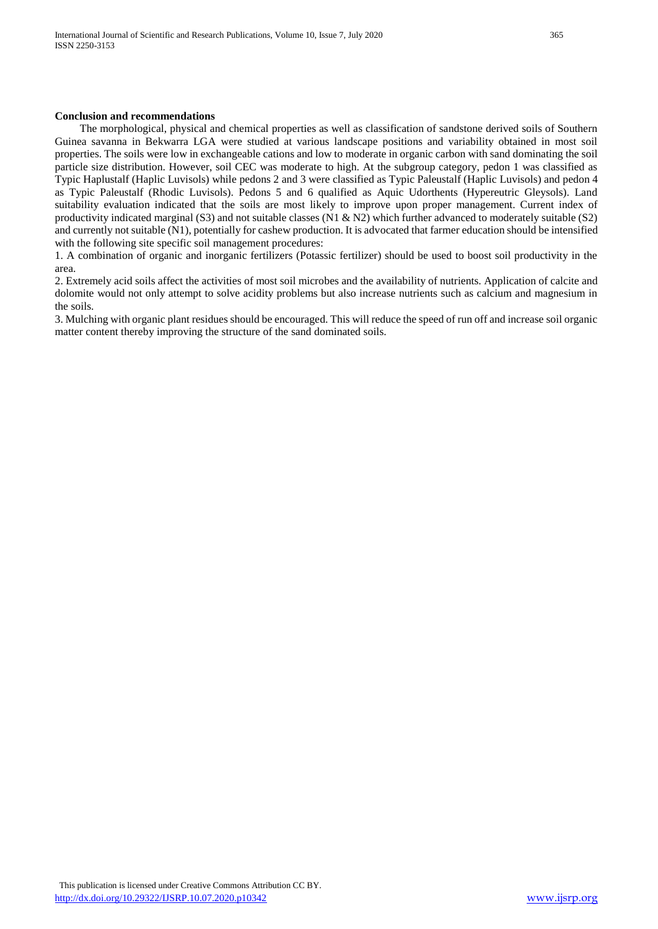#### **Conclusion and recommendations**

 The morphological, physical and chemical properties as well as classification of sandstone derived soils of Southern Guinea savanna in Bekwarra LGA were studied at various landscape positions and variability obtained in most soil properties. The soils were low in exchangeable cations and low to moderate in organic carbon with sand dominating the soil particle size distribution. However, soil CEC was moderate to high. At the subgroup category, pedon 1 was classified as Typic Haplustalf (Haplic Luvisols) while pedons 2 and 3 were classified as Typic Paleustalf (Haplic Luvisols) and pedon 4 as Typic Paleustalf (Rhodic Luvisols). Pedons 5 and 6 qualified as Aquic Udorthents (Hypereutric Gleysols). Land suitability evaluation indicated that the soils are most likely to improve upon proper management. Current index of productivity indicated marginal (S3) and not suitable classes (N1 & N2) which further advanced to moderately suitable (S2) and currently not suitable (N1), potentially for cashew production. It is advocated that farmer education should be intensified with the following site specific soil management procedures:

1. A combination of organic and inorganic fertilizers (Potassic fertilizer) should be used to boost soil productivity in the area.

2. Extremely acid soils affect the activities of most soil microbes and the availability of nutrients. Application of calcite and dolomite would not only attempt to solve acidity problems but also increase nutrients such as calcium and magnesium in the soils.

3. Mulching with organic plant residues should be encouraged. This will reduce the speed of run off and increase soil organic matter content thereby improving the structure of the sand dominated soils.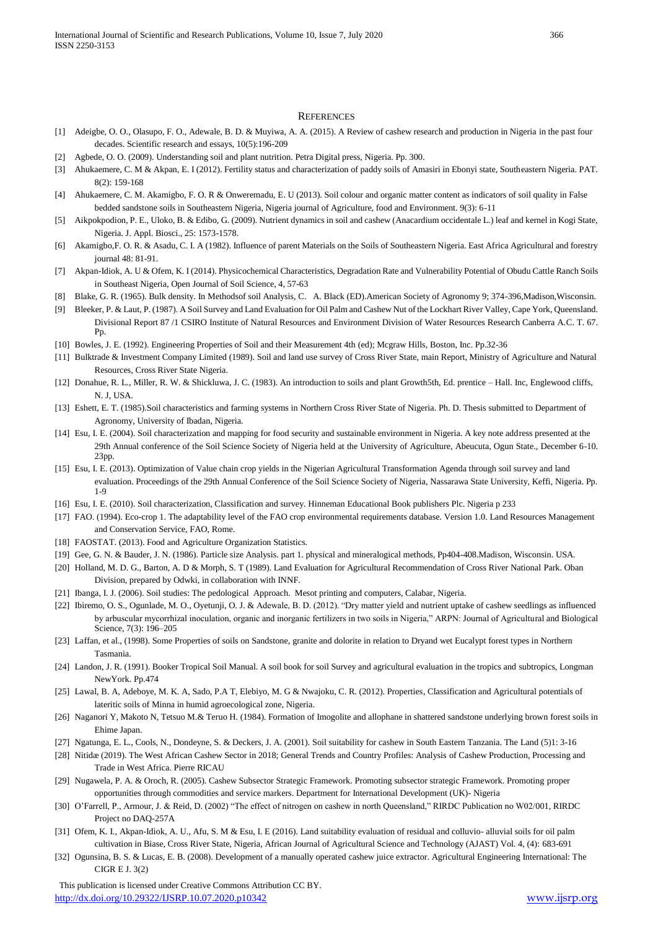#### **REFERENCES**

- [1] Adeigbe, O. O., Olasupo, F. O., Adewale, B. D. & Muyiwa, A. A. (2015). A Review of cashew research and production in Nigeria in the past four decades. Scientific research and essays, 10(5):196-209
- [2] Agbede, O. O. (2009). Understanding soil and plant nutrition. Petra Digital press, Nigeria. Pp. 300.
- [3] Ahukaemere, C. M & Akpan, E. I (2012). Fertility status and characterization of paddy soils of Amasiri in Ebonyi state, Southeastern Nigeria. PAT. 8(2): 159-168
- [4] Ahukaemere, C. M. Akamigbo, F. O. R & Onweremadu, E. U (2013). Soil colour and organic matter content as indicators of soil quality in False bedded sandstone soils in Southeastern Nigeria, Nigeria journal of Agriculture, food and Environment. 9(3): 6-11
- [5] Aikpokpodion, P. E., Uloko, B. & Edibo, G. (2009). Nutrient dynamics in soil and cashew (Anacardium occidentale L.) leaf and kernel in Kogi State, Nigeria. J. Appl. Biosci., 25: 1573-1578.
- [6] Akamigbo,F. O. R. & Asadu, C. I. A (1982). Influence of parent Materials on the Soils of Southeastern Nigeria. East Africa Agricultural and forestry journal 48: 81-91.
- [7] Akpan-Idiok, A. U & Ofem, K. I (2014). Physicochemical Characteristics, Degradation Rate and Vulnerability Potential of Obudu Cattle Ranch Soils in Southeast Nigeria, Open Journal of Soil Science, 4, 57-63
- [8] Blake, G. R. (1965). Bulk density. In Methodsof soil Analysis, C. A. Black (ED).American Society of Agronomy 9; 374-396,Madison,Wisconsin.
- [9] Bleeker, P. & Laut, P. (1987). A Soil Survey and Land Evaluation for Oil Palm and Cashew Nut of the Lockhart River Valley, Cape York, Queensland. Divisional Report 87 /1 CSIRO Institute of Natural Resources and Environment Division of Water Resources Research Canberra A.C. T. 67. Pp.
- [10] Bowles, J. E. (1992). Engineering Properties of Soil and their Measurement 4th (ed); Mcgraw Hills, Boston, Inc. Pp.32-36
- [11] Bulktrade & Investment Company Limited (1989). Soil and land use survey of Cross River State, main Report, Ministry of Agriculture and Natural Resources, Cross River State Nigeria.
- [12] Donahue, R. L., Miller, R. W. & Shickluwa, J. C. (1983). An introduction to soils and plant Growth5th, Ed. prentice Hall. Inc, Englewood cliffs, N. J, USA.
- [13] Eshett, E. T. (1985).Soil characteristics and farming systems in Northern Cross River State of Nigeria. Ph. D. Thesis submitted to Department of Agronomy, University of Ibadan, Nigeria.
- [14] Esu, I. E. (2004). Soil characterization and mapping for food security and sustainable environment in Nigeria. A key note address presented at the 29th Annual conference of the Soil Science Society of Nigeria held at the University of Agriculture, Abeucuta, Ogun State., December 6-10. 23pp.
- [15] Esu, I. E. (2013). Optimization of Value chain crop yields in the Nigerian Agricultural Transformation Agenda through soil survey and land evaluation. Proceedings of the 29th Annual Conference of the Soil Science Society of Nigeria, Nassarawa State University, Keffi, Nigeria. Pp. 1-9
- [16] Esu, I. E. (2010). Soil characterization, Classification and survey. Hinneman Educational Book publishers Plc. Nigeria p 233
- [17] FAO. (1994). Eco-crop 1. The adaptability level of the FAO crop environmental requirements database. Version 1.0. Land Resources Management and Conservation Service, FAO, Rome.
- [18] FAOSTAT. (2013). Food and Agriculture Organization Statistics.
- [19] Gee, G. N. & Bauder, J. N. (1986). Particle size Analysis. part 1. physical and mineralogical methods, Pp404-408.Madison, Wisconsin. USA.
- [20] Holland, M. D. G., Barton, A. D & Morph, S. T (1989). Land Evaluation for Agricultural Recommendation of Cross River National Park. Oban Division, prepared by Odwki, in collaboration with INNF.
- [21] Ibanga, I. J. (2006). Soil studies: The pedological Approach. Mesot printing and computers, Calabar, Nigeria.
- [22] Ibiremo, O. S., Ogunlade, M. O., Oyetunji, O. J. & Adewale, B. D. (2012). "Dry matter yield and nutrient uptake of cashew seedlings as influenced by arbuscular mycorrhizal inoculation, organic and inorganic fertilizers in two soils in Nigeria," ARPN: Journal of Agricultural and Biological Science, 7(3): 196–205
- [23] Laffan, et al., (1998). Some Properties of soils on Sandstone, granite and dolorite in relation to Dryand wet Eucalypt forest types in Northern Tasmania.
- [24] Landon, J. R. (1991). Booker Tropical Soil Manual. A soil book for soil Survey and agricultural evaluation in the tropics and subtropics, Longman NewYork. Pp.474
- [25] Lawal, B. A, Adeboye, M. K. A, Sado, P.A T, Elebiyo, M. G & Nwajoku, C. R. (2012). Properties, Classification and Agricultural potentials of lateritic soils of Minna in humid agroecological zone, Nigeria.
- [26] Naganori Y, Makoto N, Tetsuo M.& Teruo H. (1984). Formation of Imogolite and allophane in shattered sandstone underlying brown forest soils in Ehime Japan.
- [27] Ngatunga, E. L., Cools, N., Dondeyne, S. & Deckers, J. A. (2001). Soil suitability for cashew in South Eastern Tanzania. The Land (5)1: 3-16
- [28] Nitidæ (2019). The West African Cashew Sector in 2018; General Trends and Country Profiles: Analysis of Cashew Production, Processing and Trade in West Africa. Pierre RICAU
- [29] Nugawela, P. A. & Oroch, R. (2005). Cashew Subsector Strategic Framework. Promoting subsector strategic Framework. Promoting proper opportunities through commodities and service markers. Department for International Development (UK)- Nigeria
- [30] O'Farrell, P., Armour, J. & Reid, D. (2002) "The effect of nitrogen on cashew in north Queensland," RIRDC Publication no W02/001, RIRDC Project no DAQ-257A
- [31] Ofem, K. I., Akpan-Idiok, A. U., Afu, S. M & Esu, I. E (2016). Land suitability evaluation of residual and colluvio- alluvial soils for oil palm cultivation in Biase, Cross River State, Nigeria, African Journal of Agricultural Science and Technology (AJAST) Vol. 4, (4): 683-691
- [32] Ogunsina, B. S. & Lucas, E. B. (2008). Development of a manually operated cashew juice extractor. Agricultural Engineering International: The CIGR E J. 3(2)

 This publication is licensed under Creative Commons Attribution CC BY. <http://dx.doi.org/10.29322/IJSRP.10.07.2020.p10342> [www.ijsrp.org](http://ijsrp.org/)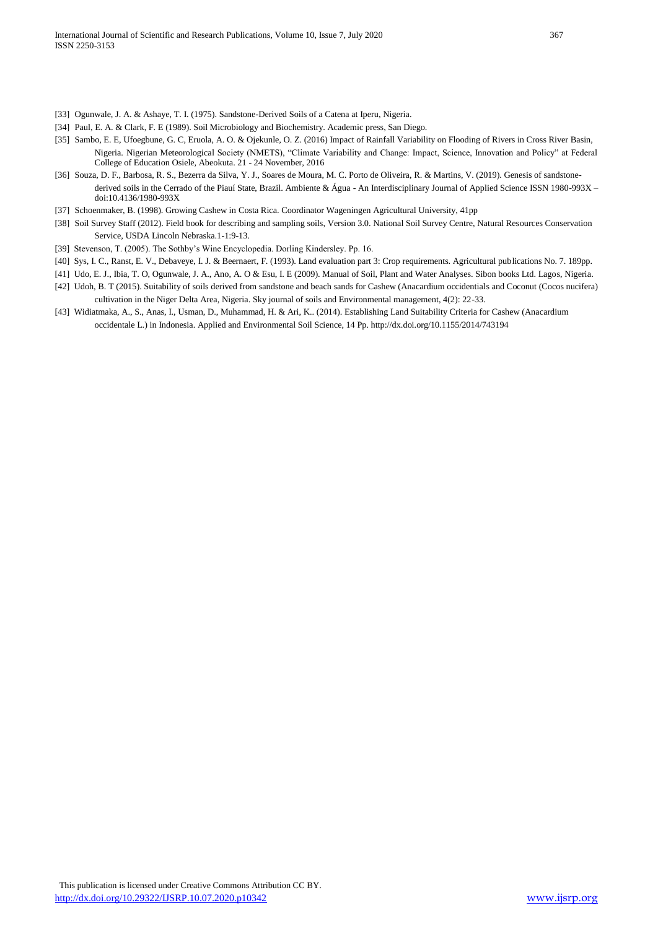- [33] Ogunwale, J. A. & Ashaye, T. I. (1975). Sandstone-Derived Soils of a Catena at Iperu, Nigeria.
- [34] Paul, E. A. & Clark, F. E (1989). Soil Microbiology and Biochemistry. Academic press, San Diego.
- [35] Sambo, E. E, Ufoegbune, G. C, Eruola, A. O. & Ojekunle, O. Z. (2016) Impact of Rainfall Variability on Flooding of Rivers in Cross River Basin, Nigeria. Nigerian Meteorological Society (NMETS), "Climate Variability and Change: Impact, Science, Innovation and Policy" at Federal College of Education Osiele, Abeokuta. 21 - 24 November, 2016
- [36] Souza, D. F., Barbosa, R. S., Bezerra da Silva, Y. J., Soares de Moura, M. C. Porto de Oliveira, R. & Martins, V. (2019). Genesis of sandstonederived soils in the Cerrado of the Piauí State, Brazil. Ambiente & Água - An Interdisciplinary Journal of Applied Science ISSN 1980-993X – doi:10.4136/1980-993X
- [37] Schoenmaker, B. (1998). Growing Cashew in Costa Rica. Coordinator Wageningen Agricultural University, 41pp
- [38] Soil Survey Staff (2012). Field book for describing and sampling soils, Version 3.0. National Soil Survey Centre, Natural Resources Conservation Service, USDA Lincoln Nebraska.1-1:9-13.
- [39] Stevenson, T. (2005). The Sothby's Wine Encyclopedia. Dorling Kindersley. Pp. 16.
- [40] Sys, I. C., Ranst, E. V., Debaveye, I. J. & Beernaert, F. (1993). Land evaluation part 3: Crop requirements. Agricultural publications No. 7. 189pp.
- [41] Udo, E. J., Ibia, T. O, Ogunwale, J. A., Ano, A. O & Esu, I. E (2009). Manual of Soil, Plant and Water Analyses. Sibon books Ltd. Lagos, Nigeria.
- [42] Udoh, B. T (2015). Suitability of soils derived from sandstone and beach sands for Cashew (Anacardium occidentials and Coconut (Cocos nucifera) cultivation in the Niger Delta Area, Nigeria. Sky journal of soils and Environmental management, 4(2): 22-33.
- [43] Widiatmaka, A., S., Anas, I., Usman, D., Muhammad, H. & Ari, K.. (2014). Establishing Land Suitability Criteria for Cashew (Anacardium occidentale L.) in Indonesia. Applied and Environmental Soil Science, 14 Pp. http://dx.doi.org/10.1155/2014/743194